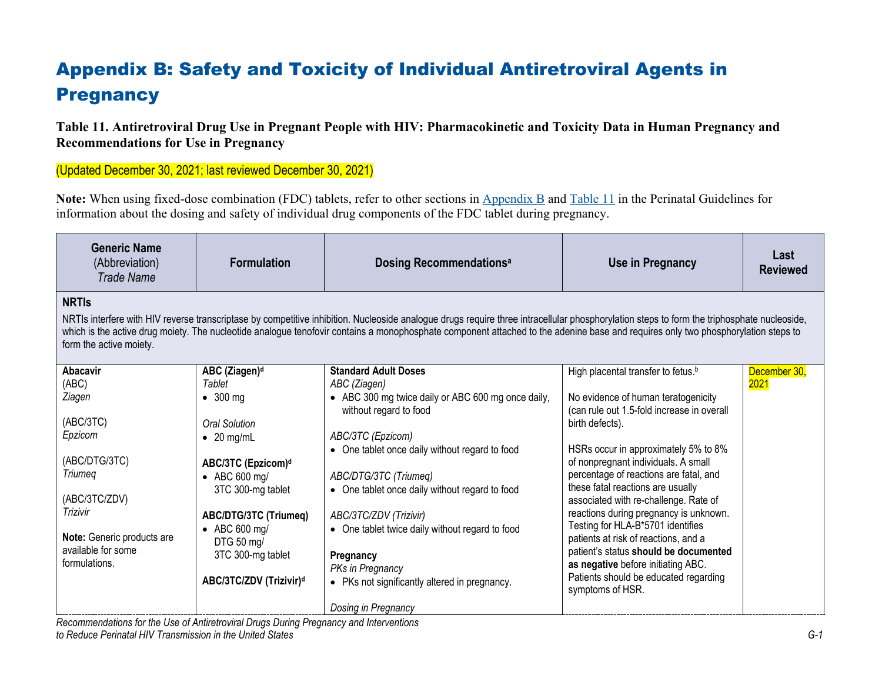## Appendix B: Safety and Toxicity of Individual Antiretroviral Agents in **Pregnancy**

**Table 11. Antiretroviral Drug Use in Pregnant People with HIV: Pharmacokinetic and Toxicity Data in Human Pregnancy and Recommendations for Use in Pregnancy**

(Updated December 30, 2021; last reviewed December 30, 2021)

**Note:** When using fixed-dose combination (FDC) tablets, refer to other sections in [Appendix B](https://clinicalinfo.hiv.gov/en/guidelines/perinatal/overview-3?view=full) and [Table 11](https://clinicalinfo.hiv.gov/en/table/table-10-antiretroviral-drug-use-pregnant-women-hiv-infection-pharmacokinetic-and-toxicity) in the Perinatal Guidelines for information about the dosing and safety of individual drug components of the FDC tablet during pregnancy.

| <b>Generic Name</b><br>(Abbreviation)<br><b>Trade Name</b>                                                                                                                                                                                                                                                                                                                                                                 | <b>Formulation</b>                  | <b>Dosing Recommendationsally</b>                                            | Use in Pregnancy                                                                  | Last<br><b>Reviewed</b> |
|----------------------------------------------------------------------------------------------------------------------------------------------------------------------------------------------------------------------------------------------------------------------------------------------------------------------------------------------------------------------------------------------------------------------------|-------------------------------------|------------------------------------------------------------------------------|-----------------------------------------------------------------------------------|-------------------------|
| <b>NRTIS</b><br>NRTIs interfere with HIV reverse transcriptase by competitive inhibition. Nucleoside analogue drugs require three intracellular phosphorylation steps to form the triphosphate nucleoside,<br>which is the active drug moiety. The nucleotide analogue tenofovir contains a monophosphate component attached to the adenine base and requires only two phosphorylation steps to<br>form the active moiety. |                                     |                                                                              |                                                                                   |                         |
| Abacavir                                                                                                                                                                                                                                                                                                                                                                                                                   | ABC (Ziagen) <sup>d</sup>           | <b>Standard Adult Doses</b>                                                  | High placental transfer to fetus. <sup>b</sup>                                    | December 30,            |
| (ABC)                                                                                                                                                                                                                                                                                                                                                                                                                      | Tablet                              | ABC (Ziagen)                                                                 |                                                                                   | 2021                    |
| Ziagen                                                                                                                                                                                                                                                                                                                                                                                                                     | $\bullet$ 300 mg                    | • ABC 300 mg twice daily or ABC 600 mg once daily,<br>without regard to food | No evidence of human teratogenicity<br>(can rule out 1.5-fold increase in overall |                         |
| (ABC/3TC)                                                                                                                                                                                                                                                                                                                                                                                                                  | <b>Oral Solution</b>                |                                                                              | birth defects).                                                                   |                         |
| Epzicom                                                                                                                                                                                                                                                                                                                                                                                                                    | $\bullet$ 20 mg/mL                  | ABC/3TC (Epzicom)                                                            |                                                                                   |                         |
|                                                                                                                                                                                                                                                                                                                                                                                                                            |                                     | • One tablet once daily without regard to food                               | HSRs occur in approximately 5% to 8%                                              |                         |
| (ABC/DTG/3TC)                                                                                                                                                                                                                                                                                                                                                                                                              | ABC/3TC (Epzicom) <sup>d</sup>      |                                                                              | of nonpregnant individuals. A small                                               |                         |
| Triumeg                                                                                                                                                                                                                                                                                                                                                                                                                    | • ABC 600 mg/                       | ABC/DTG/3TC (Triumeq)                                                        | percentage of reactions are fatal, and                                            |                         |
| (ABC/3TC/ZDV)                                                                                                                                                                                                                                                                                                                                                                                                              | 3TC 300-mg tablet                   | • One tablet once daily without regard to food                               | these fatal reactions are usually<br>associated with re-challenge. Rate of        |                         |
| <b>Trizivir</b>                                                                                                                                                                                                                                                                                                                                                                                                            | <b>ABC/DTG/3TC (Triumeq)</b>        | ABC/3TC/ZDV (Trizivir)                                                       | reactions during pregnancy is unknown.                                            |                         |
| Note: Generic products are                                                                                                                                                                                                                                                                                                                                                                                                 | $\bullet$ ABC 600 mg/<br>DTG 50 mg/ | • One tablet twice daily without regard to food                              | Testing for HLA-B*5701 identifies<br>patients at risk of reactions, and a         |                         |
| available for some<br>formulations.                                                                                                                                                                                                                                                                                                                                                                                        | 3TC 300-mg tablet                   | Pregnancy<br>PKs in Pregnancy                                                | patient's status should be documented<br>as negative before initiating ABC.       |                         |
|                                                                                                                                                                                                                                                                                                                                                                                                                            | ABC/3TC/ZDV (Trizivir)d             | • PKs not significantly altered in pregnancy.                                | Patients should be educated regarding<br>symptoms of HSR.                         |                         |
|                                                                                                                                                                                                                                                                                                                                                                                                                            |                                     | Dosing in Pregnancy                                                          |                                                                                   |                         |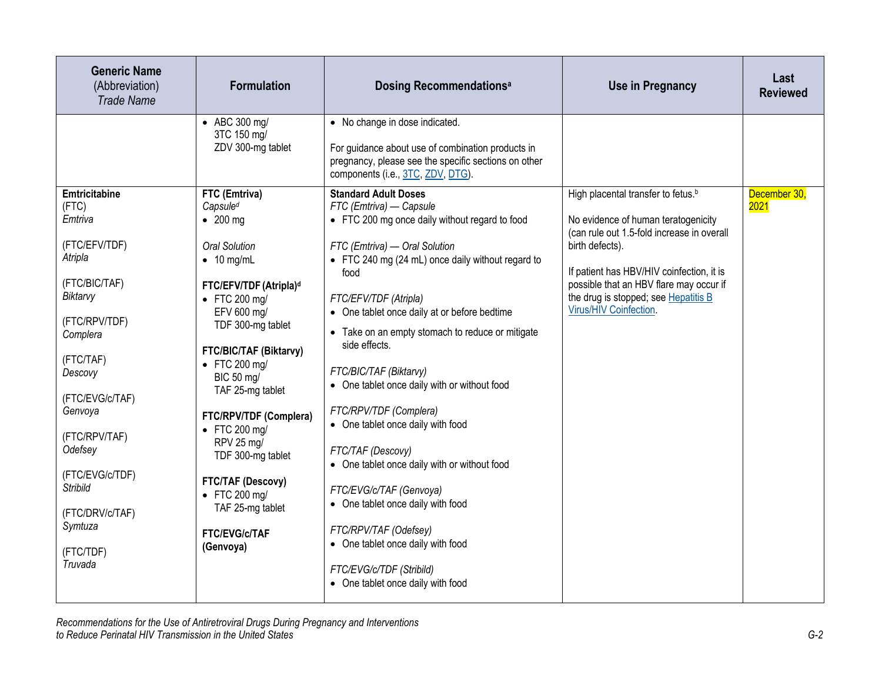| <b>Generic Name</b><br>(Abbreviation)<br><b>Trade Name</b>                                                                                                                                                                                                                                                   | <b>Formulation</b>                                                                                                                                                                                                                                                                                                                                                                                                                                                                  | <b>Dosing Recommendationsal</b>                                                                                                                                                                                                                                                                                                                                                                                                                                                                                                                                                                                                                                                                                                                                   | <b>Use in Pregnancy</b>                                                                                                                                                                                                                                                                                          | Last<br><b>Reviewed</b> |
|--------------------------------------------------------------------------------------------------------------------------------------------------------------------------------------------------------------------------------------------------------------------------------------------------------------|-------------------------------------------------------------------------------------------------------------------------------------------------------------------------------------------------------------------------------------------------------------------------------------------------------------------------------------------------------------------------------------------------------------------------------------------------------------------------------------|-------------------------------------------------------------------------------------------------------------------------------------------------------------------------------------------------------------------------------------------------------------------------------------------------------------------------------------------------------------------------------------------------------------------------------------------------------------------------------------------------------------------------------------------------------------------------------------------------------------------------------------------------------------------------------------------------------------------------------------------------------------------|------------------------------------------------------------------------------------------------------------------------------------------------------------------------------------------------------------------------------------------------------------------------------------------------------------------|-------------------------|
|                                                                                                                                                                                                                                                                                                              | • ABC 300 mg/<br>3TC 150 mg/<br>ZDV 300-mg tablet                                                                                                                                                                                                                                                                                                                                                                                                                                   | • No change in dose indicated.<br>For guidance about use of combination products in<br>pregnancy, please see the specific sections on other<br>components (i.e., 3TC, ZDV, DTG).                                                                                                                                                                                                                                                                                                                                                                                                                                                                                                                                                                                  |                                                                                                                                                                                                                                                                                                                  |                         |
| <b>Emtricitabine</b><br>(FTC)<br>Emtriva<br>(FTC/EFV/TDF)<br>Atripla<br>(FTC/BIC/TAF)<br>Biktarvy<br>(FTC/RPV/TDF)<br>Complera<br>(FTC/TAF)<br>Descovy<br>(FTC/EVG/c/TAF)<br>Genvoya<br>(FTC/RPV/TAF)<br>Odefsey<br>(FTC/EVG/c/TDF)<br><b>Stribild</b><br>(FTC/DRV/c/TAF)<br>Symtuza<br>(FTC/TDF)<br>Truvada | FTC (Emtriva)<br>Capsule <sup>d</sup><br>$\bullet$ 200 mg<br>Oral Solution<br>$\bullet$ 10 mg/mL<br>FTC/EFV/TDF (Atripla) <sup>d</sup><br>$\bullet$ FTC 200 mg/<br>EFV 600 mg/<br>TDF 300-mg tablet<br><b>FTC/BIC/TAF (Biktarvy)</b><br>$\bullet$ FTC 200 mg/<br>BIC 50 mg/<br>TAF 25-mg tablet<br>FTC/RPV/TDF (Complera)<br>• FTC 200 mg/<br>RPV 25 mg/<br>TDF 300-mg tablet<br><b>FTC/TAF (Descovy)</b><br>• FTC 200 mg/<br>TAF 25-mg tablet<br><b>FTC/EVG/c/TAF</b><br>(Genvoya) | <b>Standard Adult Doses</b><br>FTC (Emtriva) - Capsule<br>• FTC 200 mg once daily without regard to food<br>FTC (Emtriva) - Oral Solution<br>• FTC 240 mg (24 mL) once daily without regard to<br>food<br>FTC/EFV/TDF (Atripla)<br>• One tablet once daily at or before bedtime<br>• Take on an empty stomach to reduce or mitigate<br>side effects.<br>FTC/BIC/TAF (Biktarvy)<br>• One tablet once daily with or without food<br>FTC/RPV/TDF (Complera)<br>• One tablet once daily with food<br>FTC/TAF (Descovy)<br>• One tablet once daily with or without food<br>FTC/EVG/c/TAF (Genvoya)<br>• One tablet once daily with food<br>FTC/RPV/TAF (Odefsey)<br>• One tablet once daily with food<br>FTC/EVG/c/TDF (Stribild)<br>• One tablet once daily with food | High placental transfer to fetus. <sup>b</sup><br>No evidence of human teratogenicity<br>(can rule out 1.5-fold increase in overall<br>birth defects).<br>If patient has HBV/HIV coinfection, it is<br>possible that an HBV flare may occur if<br>the drug is stopped; see Hepatitis B<br>Virus/HIV Coinfection. | December 30,<br>2021    |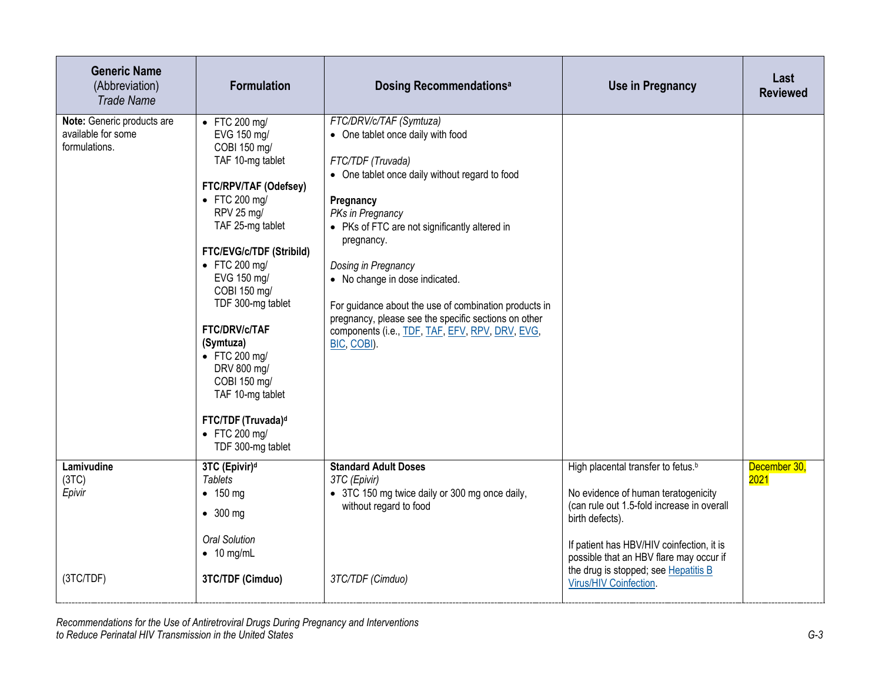| <b>Generic Name</b><br>(Abbreviation)<br><b>Trade Name</b>        | <b>Formulation</b>                                                                                                                                                                                                                                                                                                                                                                                                                                                     | <b>Dosing Recommendationsal</b>                                                                                                                                                                                                                                                                                                                                                                                                                                                 | <b>Use in Pregnancy</b>                                                                                                                                                                                                                                                                                          | Last<br><b>Reviewed</b> |
|-------------------------------------------------------------------|------------------------------------------------------------------------------------------------------------------------------------------------------------------------------------------------------------------------------------------------------------------------------------------------------------------------------------------------------------------------------------------------------------------------------------------------------------------------|---------------------------------------------------------------------------------------------------------------------------------------------------------------------------------------------------------------------------------------------------------------------------------------------------------------------------------------------------------------------------------------------------------------------------------------------------------------------------------|------------------------------------------------------------------------------------------------------------------------------------------------------------------------------------------------------------------------------------------------------------------------------------------------------------------|-------------------------|
| Note: Generic products are<br>available for some<br>formulations. | $\bullet$ FTC 200 mg/<br>EVG 150 mg/<br>COBI 150 mg/<br>TAF 10-mg tablet<br>FTC/RPV/TAF (Odefsey)<br>$\bullet$ FTC 200 mg/<br>RPV 25 mg/<br>TAF 25-mg tablet<br>FTC/EVG/c/TDF (Stribild)<br>$\bullet$ FTC 200 mg/<br>EVG 150 mg/<br>COBI 150 mg/<br>TDF 300-mg tablet<br><b>FTC/DRV/c/TAF</b><br>(Symtuza)<br>$\bullet$ FTC 200 mg/<br>DRV 800 mg/<br>COBI 150 mg/<br>TAF 10-mg tablet<br>FTC/TDF (Truvada) <sup>d</sup><br>$\bullet$ FTC 200 mg/<br>TDF 300-mg tablet | FTC/DRV/c/TAF (Symtuza)<br>• One tablet once daily with food<br>FTC/TDF (Truvada)<br>• One tablet once daily without regard to food<br>Pregnancy<br>PKs in Pregnancy<br>• PKs of FTC are not significantly altered in<br>pregnancy.<br>Dosing in Pregnancy<br>• No change in dose indicated.<br>For guidance about the use of combination products in<br>pregnancy, please see the specific sections on other<br>components (i.e., TDF, TAF, EFV, RPV, DRV, EVG,<br>BIC, COBI). |                                                                                                                                                                                                                                                                                                                  |                         |
| Lamivudine<br>(3TC)<br>Epivir<br>(3TC/TDF)                        | 3TC (Epivir) <sup>d</sup><br><b>Tablets</b><br>$\bullet$ 150 mg<br>$\bullet$ 300 mg<br><b>Oral Solution</b><br>$\bullet$ 10 mg/mL<br>3TC/TDF (Cimduo)                                                                                                                                                                                                                                                                                                                  | <b>Standard Adult Doses</b><br>3TC (Epivir)<br>• 3TC 150 mg twice daily or 300 mg once daily,<br>without regard to food<br>3TC/TDF (Cimduo)                                                                                                                                                                                                                                                                                                                                     | High placental transfer to fetus. <sup>b</sup><br>No evidence of human teratogenicity<br>(can rule out 1.5-fold increase in overall<br>birth defects).<br>If patient has HBV/HIV coinfection, it is<br>possible that an HBV flare may occur if<br>the drug is stopped; see Hepatitis B<br>Virus/HIV Coinfection. | December 30,<br>2021    |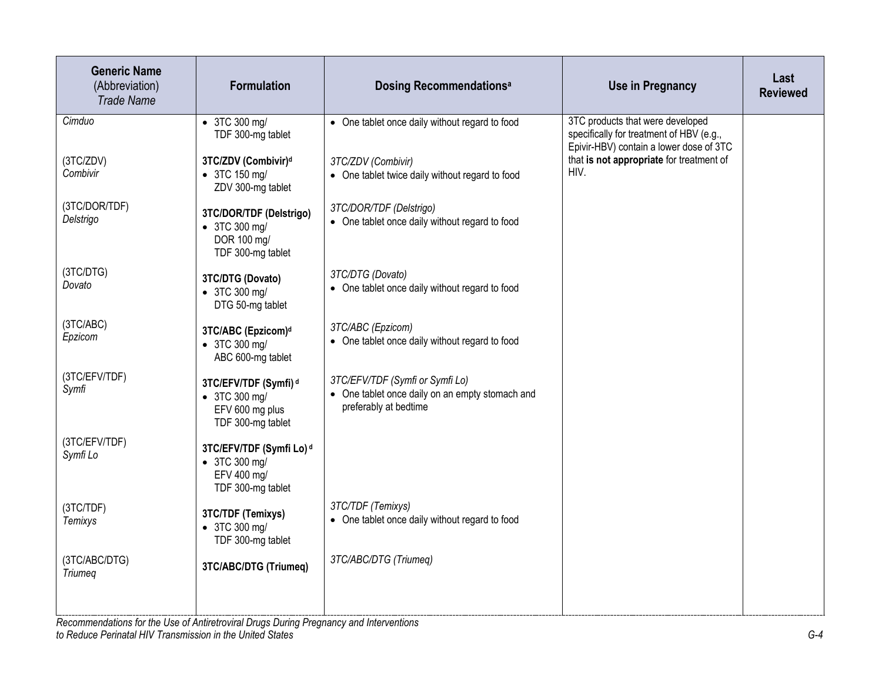| <b>Generic Name</b><br>(Abbreviation)<br><b>Trade Name</b> | <b>Formulation</b>                                                                        | <b>Dosing Recommendationsally</b>                                                                           | Use in Pregnancy                                                                                                        | Last<br><b>Reviewed</b> |
|------------------------------------------------------------|-------------------------------------------------------------------------------------------|-------------------------------------------------------------------------------------------------------------|-------------------------------------------------------------------------------------------------------------------------|-------------------------|
| Cimduo                                                     | • 3TC 300 mg/<br>TDF 300-mg tablet                                                        | • One tablet once daily without regard to food                                                              | 3TC products that were developed<br>specifically for treatment of HBV (e.g.,<br>Epivir-HBV) contain a lower dose of 3TC |                         |
| (3TC/ZDV)<br>Combivir                                      | 3TC/ZDV (Combivir) <sup>d</sup><br>• 3TC 150 mg/<br>ZDV 300-mg tablet                     | 3TC/ZDV (Combivir)<br>• One tablet twice daily without regard to food                                       | that is not appropriate for treatment of<br>HIV.                                                                        |                         |
| (3TC/DOR/TDF)<br>Delstrigo                                 | 3TC/DOR/TDF (Delstrigo)<br>• 3TC 300 mg/<br>DOR 100 mg/<br>TDF 300-mg tablet              | 3TC/DOR/TDF (Delstrigo)<br>• One tablet once daily without regard to food                                   |                                                                                                                         |                         |
| (3TC/DTG)<br>Dovato                                        | 3TC/DTG (Dovato)<br>• 3TC 300 mg/<br>DTG 50-mg tablet                                     | 3TC/DTG (Dovato)<br>• One tablet once daily without regard to food                                          |                                                                                                                         |                         |
| (3TC/ABC)<br>Epzicom                                       | 3TC/ABC (Epzicom) <sup>d</sup><br>• 3TC 300 mg/<br>ABC 600-mg tablet                      | 3TC/ABC (Epzicom)<br>• One tablet once daily without regard to food                                         |                                                                                                                         |                         |
| (3TC/EFV/TDF)<br>Symfi                                     | 3TC/EFV/TDF (Symfi) <sup>d</sup><br>• 3TC 300 mg/<br>EFV 600 mg plus<br>TDF 300-mg tablet | 3TC/EFV/TDF (Symfi or Symfi Lo)<br>• One tablet once daily on an empty stomach and<br>preferably at bedtime |                                                                                                                         |                         |
| (3TC/EFV/TDF)<br>Symfi Lo                                  | 3TC/EFV/TDF (Symfi Lo) <sup>d</sup><br>• 3TC 300 mg/<br>EFV 400 mg/<br>TDF 300-mg tablet  |                                                                                                             |                                                                                                                         |                         |
| (3TC/TDF)<br>Temixys                                       | 3TC/TDF (Temixys)<br>• 3TC 300 mg/<br>TDF 300-mg tablet                                   | 3TC/TDF (Temixys)<br>• One tablet once daily without regard to food                                         |                                                                                                                         |                         |
| (3TC/ABC/DTG)<br>Triumeg                                   | 3TC/ABC/DTG (Triumeq)                                                                     | 3TC/ABC/DTG (Triumeq)                                                                                       |                                                                                                                         |                         |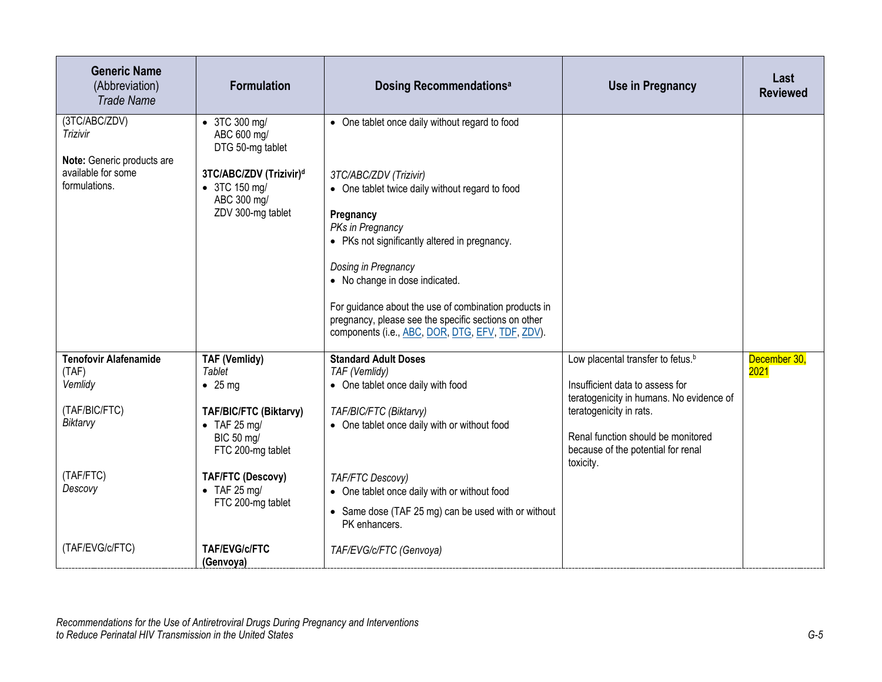| <b>Generic Name</b><br>(Abbreviation)<br><b>Trade Name</b>                                            | <b>Formulation</b>                                                                                                                                                                                              | <b>Dosing Recommendationsal</b>                                                                                                                                                                                                                                                                                                                                                                                                             | <b>Use in Pregnancy</b>                                                                                                                                                                                                                          | Last<br><b>Reviewed</b> |
|-------------------------------------------------------------------------------------------------------|-----------------------------------------------------------------------------------------------------------------------------------------------------------------------------------------------------------------|---------------------------------------------------------------------------------------------------------------------------------------------------------------------------------------------------------------------------------------------------------------------------------------------------------------------------------------------------------------------------------------------------------------------------------------------|--------------------------------------------------------------------------------------------------------------------------------------------------------------------------------------------------------------------------------------------------|-------------------------|
| (3TC/ABC/ZDV)<br>Trizivir<br>Note: Generic products are<br>available for some<br>formulations.        | • 3TC 300 mg/<br>ABC 600 mg/<br>DTG 50-mg tablet<br>3TC/ABC/ZDV (Trizivir) <sup>d</sup><br>• 3TC 150 mg/<br>ABC 300 mg/<br>ZDV 300-mg tablet                                                                    | • One tablet once daily without regard to food<br>3TC/ABC/ZDV (Trizivir)<br>• One tablet twice daily without regard to food<br>Pregnancy<br>PKs in Pregnancy<br>• PKs not significantly altered in pregnancy.<br>Dosing in Pregnancy<br>• No change in dose indicated.<br>For guidance about the use of combination products in<br>pregnancy, please see the specific sections on other<br>components (i.e., ABC, DOR, DTG, EFV, TDF, ZDV). |                                                                                                                                                                                                                                                  |                         |
| <b>Tenofovir Alafenamide</b><br>(TAF)<br>Vemlidy<br>(TAF/BIC/FTC)<br>Biktarvy<br>(TAF/FTC)<br>Descovy | <b>TAF (Vemlidy)</b><br>Tablet<br>$\bullet$ 25 mg<br>TAF/BIC/FTC (Biktarvy)<br>$\bullet$ TAF 25 mg/<br>BIC 50 mg/<br>FTC 200-mg tablet<br><b>TAF/FTC (Descovy)</b><br>$\bullet$ TAF 25 mg/<br>FTC 200-mg tablet | <b>Standard Adult Doses</b><br>TAF (Vemlidy)<br>• One tablet once daily with food<br>TAF/BIC/FTC (Biktarvy)<br>• One tablet once daily with or without food<br><b>TAF/FTC Descovy)</b><br>• One tablet once daily with or without food<br>• Same dose (TAF 25 mg) can be used with or without<br>PK enhancers.                                                                                                                              | Low placental transfer to fetus. <sup>b</sup><br>Insufficient data to assess for<br>teratogenicity in humans. No evidence of<br>teratogenicity in rats.<br>Renal function should be monitored<br>because of the potential for renal<br>toxicity. | December 30,<br>2021    |
| (TAF/EVG/c/FTC)                                                                                       | <b>TAF/EVG/c/FTC</b><br>(Genvoya)                                                                                                                                                                               | TAF/EVG/c/FTC (Genvoya)                                                                                                                                                                                                                                                                                                                                                                                                                     |                                                                                                                                                                                                                                                  |                         |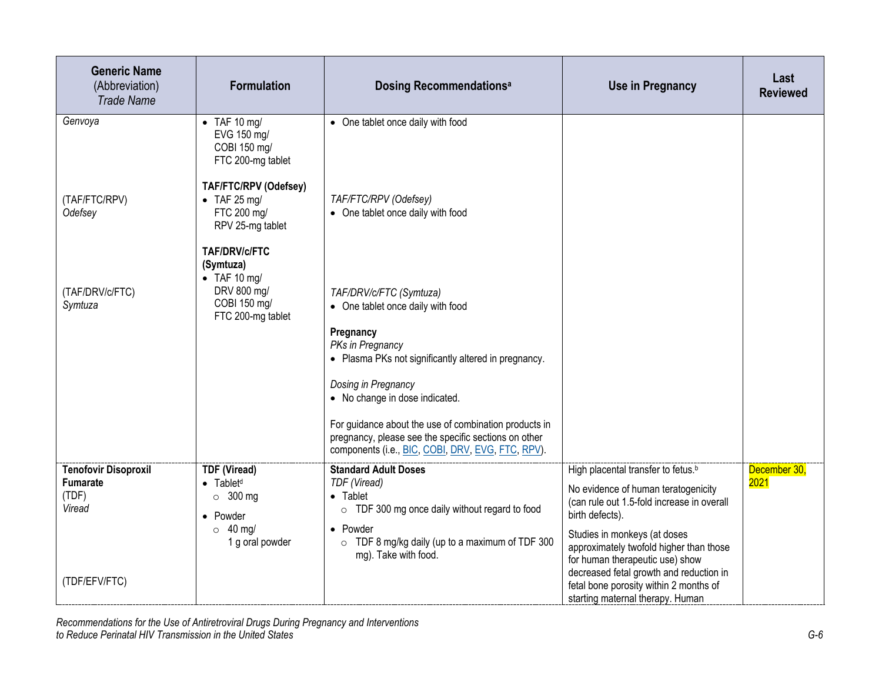| <b>Generic Name</b><br>(Abbreviation)<br><b>Trade Name</b>        | <b>Formulation</b>                                                                                                      | <b>Dosing Recommendationsal</b>                                                                                                                                                                              | <b>Use in Pregnancy</b>                                                                                                                                                                                                                                              | Last<br><b>Reviewed</b> |
|-------------------------------------------------------------------|-------------------------------------------------------------------------------------------------------------------------|--------------------------------------------------------------------------------------------------------------------------------------------------------------------------------------------------------------|----------------------------------------------------------------------------------------------------------------------------------------------------------------------------------------------------------------------------------------------------------------------|-------------------------|
| Genvoya                                                           | $\bullet$ TAF 10 mg/<br>EVG 150 mg/<br>COBI 150 mg/<br>FTC 200-mg tablet                                                | • One tablet once daily with food                                                                                                                                                                            |                                                                                                                                                                                                                                                                      |                         |
| (TAF/FTC/RPV)<br>Odefsey                                          | TAF/FTC/RPV (Odefsey)<br>$\bullet$ TAF 25 mg/<br>FTC 200 mg/<br>RPV 25-mg tablet                                        | TAF/FTC/RPV (Odefsey)<br>• One tablet once daily with food                                                                                                                                                   |                                                                                                                                                                                                                                                                      |                         |
| (TAF/DRV/c/FTC)<br>Symtuza                                        | <b>TAF/DRV/c/FTC</b><br>(Symtuza)<br>$\bullet$ TAF 10 mg/<br>DRV 800 mg/<br>COBI 150 mg/<br>FTC 200-mg tablet           | TAF/DRV/c/FTC (Symtuza)<br>• One tablet once daily with food<br>Pregnancy<br>PKs in Pregnancy<br>• Plasma PKs not significantly altered in pregnancy.                                                        |                                                                                                                                                                                                                                                                      |                         |
|                                                                   |                                                                                                                         | Dosing in Pregnancy<br>• No change in dose indicated.<br>For guidance about the use of combination products in                                                                                               |                                                                                                                                                                                                                                                                      |                         |
|                                                                   |                                                                                                                         | pregnancy, please see the specific sections on other<br>components (i.e., BIC, COBI, DRV, EVG, FTC, RPV).                                                                                                    |                                                                                                                                                                                                                                                                      |                         |
| <b>Tenofovir Disoproxil</b><br><b>Fumarate</b><br>(TDF)<br>Viread | <b>TDF (Viread)</b><br>$\bullet$ Tablet <sup>d</sup><br>$\circ$ 300 mg<br>• Powder<br>$\circ$ 40 mg/<br>1 g oral powder | <b>Standard Adult Doses</b><br>TDF (Viread)<br>• Tablet<br>$\circ$ TDF 300 mg once daily without regard to food<br>• Powder<br>$\circ$ TDF 8 mg/kg daily (up to a maximum of TDF 300<br>mg). Take with food. | High placental transfer to fetus. <sup>b</sup><br>No evidence of human teratogenicity<br>(can rule out 1.5-fold increase in overall<br>birth defects).<br>Studies in monkeys (at doses<br>approximately twofold higher than those<br>for human therapeutic use) show | December 30,<br>2021    |
| (TDF/EFV/FTC)                                                     |                                                                                                                         |                                                                                                                                                                                                              | decreased fetal growth and reduction in<br>fetal bone porosity within 2 months of<br>starting maternal therapy. Human                                                                                                                                                |                         |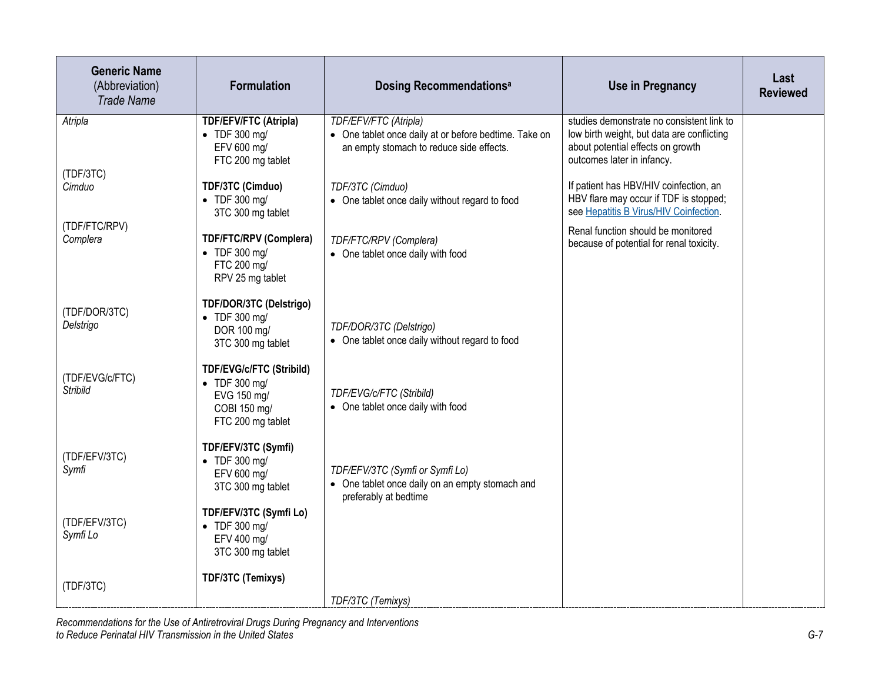| <b>Generic Name</b><br>(Abbreviation)<br><b>Trade Name</b> | <b>Formulation</b>                                                                                           | <b>Dosing Recommendationsal</b>                                                                                            | <b>Use in Pregnancy</b>                                                                                                                                    | Last<br><b>Reviewed</b> |
|------------------------------------------------------------|--------------------------------------------------------------------------------------------------------------|----------------------------------------------------------------------------------------------------------------------------|------------------------------------------------------------------------------------------------------------------------------------------------------------|-------------------------|
| Atripla                                                    | <b>TDF/EFV/FTC (Atripla)</b><br>$\bullet$ TDF 300 mg/<br>EFV 600 mg/<br>FTC 200 mg tablet                    | TDF/EFV/FTC (Atripla)<br>• One tablet once daily at or before bedtime. Take on<br>an empty stomach to reduce side effects. | studies demonstrate no consistent link to<br>low birth weight, but data are conflicting<br>about potential effects on growth<br>outcomes later in infancy. |                         |
| (TDF/3TC)<br>Cimduo                                        | TDF/3TC (Cimduo)<br>$\bullet$ TDF 300 mg/<br>3TC 300 mg tablet                                               | TDF/3TC (Cimduo)<br>• One tablet once daily without regard to food                                                         | If patient has HBV/HIV coinfection, an<br>HBV flare may occur if TDF is stopped;<br>see Hepatitis B Virus/HIV Coinfection.                                 |                         |
| (TDF/FTC/RPV)<br>Complera                                  | <b>TDF/FTC/RPV (Complera)</b><br>$\bullet$ TDF 300 mg/<br>FTC 200 mg/<br>RPV 25 mg tablet                    | TDF/FTC/RPV (Complera)<br>• One tablet once daily with food                                                                | Renal function should be monitored<br>because of potential for renal toxicity.                                                                             |                         |
| (TDF/DOR/3TC)<br>Delstrigo                                 | TDF/DOR/3TC (Delstrigo)<br>$\bullet$ TDF 300 mg/<br>DOR 100 mg/<br>3TC 300 mg tablet                         | TDF/DOR/3TC (Delstrigo)<br>• One tablet once daily without regard to food                                                  |                                                                                                                                                            |                         |
| (TDF/EVG/c/FTC)<br><b>Stribild</b>                         | <b>TDF/EVG/c/FTC (Stribild)</b><br>$\bullet$ TDF 300 mg/<br>EVG 150 mg/<br>COBI 150 mg/<br>FTC 200 mg tablet | TDF/EVG/c/FTC (Stribild)<br>• One tablet once daily with food                                                              |                                                                                                                                                            |                         |
| (TDF/EFV/3TC)<br>Symfi                                     | TDF/EFV/3TC (Symfi)<br>• TDF 300 mg/<br>EFV 600 mg/<br>3TC 300 mg tablet                                     | TDF/EFV/3TC (Symfi or Symfi Lo)<br>• One tablet once daily on an empty stomach and<br>preferably at bedtime                |                                                                                                                                                            |                         |
| (TDF/EFV/3TC)<br>Symfi Lo                                  | TDF/EFV/3TC (Symfi Lo)<br>$\bullet$ TDF 300 mg/<br>EFV 400 mg/<br>3TC 300 mg tablet                          |                                                                                                                            |                                                                                                                                                            |                         |
| (TDF/3TC)                                                  | TDF/3TC (Temixys)                                                                                            | TDF/3TC (Temixys)                                                                                                          |                                                                                                                                                            |                         |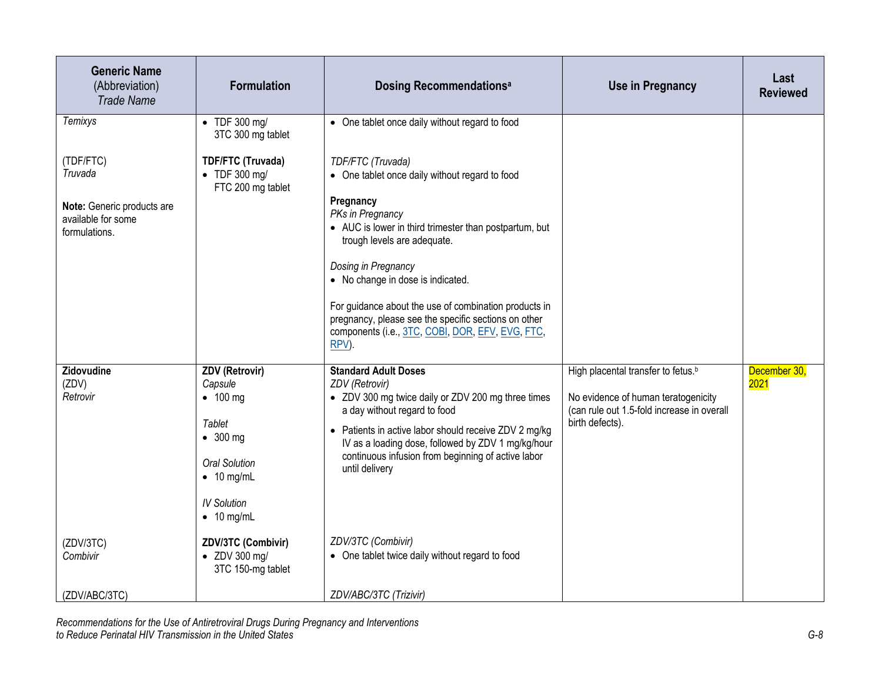| <b>Generic Name</b><br>(Abbreviation)<br><b>Trade Name</b>               | <b>Formulation</b>                                                     | <b>Dosing Recommendationsal</b>                                                                                                                                            | <b>Use in Pregnancy</b>                                                           | Last<br><b>Reviewed</b> |
|--------------------------------------------------------------------------|------------------------------------------------------------------------|----------------------------------------------------------------------------------------------------------------------------------------------------------------------------|-----------------------------------------------------------------------------------|-------------------------|
| <b>Temixys</b>                                                           | $\bullet$ TDF 300 mg/<br>3TC 300 mg tablet                             | • One tablet once daily without regard to food                                                                                                                             |                                                                                   |                         |
| (TDF/FTC)<br>Truvada<br>Note: Generic products are<br>available for some | <b>TDF/FTC (Truvada)</b><br>$\bullet$ TDF 300 mg/<br>FTC 200 mg tablet | TDF/FTC (Truvada)<br>• One tablet once daily without regard to food<br>Pregnancy<br>PKs in Pregnancy                                                                       |                                                                                   |                         |
| formulations.                                                            |                                                                        | • AUC is lower in third trimester than postpartum, but<br>trough levels are adequate.                                                                                      |                                                                                   |                         |
|                                                                          |                                                                        | Dosing in Pregnancy<br>• No change in dose is indicated.                                                                                                                   |                                                                                   |                         |
|                                                                          |                                                                        | For guidance about the use of combination products in<br>pregnancy, please see the specific sections on other<br>components (i.e., 3TC, COBI, DOR, EFV, EVG, FTC,<br>RPV). |                                                                                   |                         |
| Zidovudine                                                               | <b>ZDV (Retrovir)</b>                                                  | <b>Standard Adult Doses</b>                                                                                                                                                | High placental transfer to fetus. <sup>b</sup>                                    | December 30,            |
| (ZDV)<br>Retrovir                                                        | Capsule                                                                | ZDV (Retrovir)<br>• ZDV 300 mg twice daily or ZDV 200 mg three times                                                                                                       |                                                                                   | 2021                    |
|                                                                          | $\bullet$ 100 mg                                                       | a day without regard to food                                                                                                                                               | No evidence of human teratogenicity<br>(can rule out 1.5-fold increase in overall |                         |
|                                                                          | Tablet<br>$\bullet$ 300 mg                                             | • Patients in active labor should receive ZDV 2 mg/kg<br>IV as a loading dose, followed by ZDV 1 mg/kg/hour                                                                | birth defects).                                                                   |                         |
|                                                                          | <b>Oral Solution</b><br>$\bullet$ 10 mg/mL                             | continuous infusion from beginning of active labor<br>until delivery                                                                                                       |                                                                                   |                         |
|                                                                          | <b>IV Solution</b><br>$\bullet$ 10 mg/mL                               |                                                                                                                                                                            |                                                                                   |                         |
| (ZDV/3TC)<br>Combivir                                                    | ZDV/3TC (Combivir)<br>$\bullet$ ZDV 300 mg/<br>3TC 150-mg tablet       | ZDV/3TC (Combivir)<br>• One tablet twice daily without regard to food                                                                                                      |                                                                                   |                         |
| (ZDV/ABC/3TC)                                                            |                                                                        | ZDV/ABC/3TC (Trizivir)                                                                                                                                                     |                                                                                   |                         |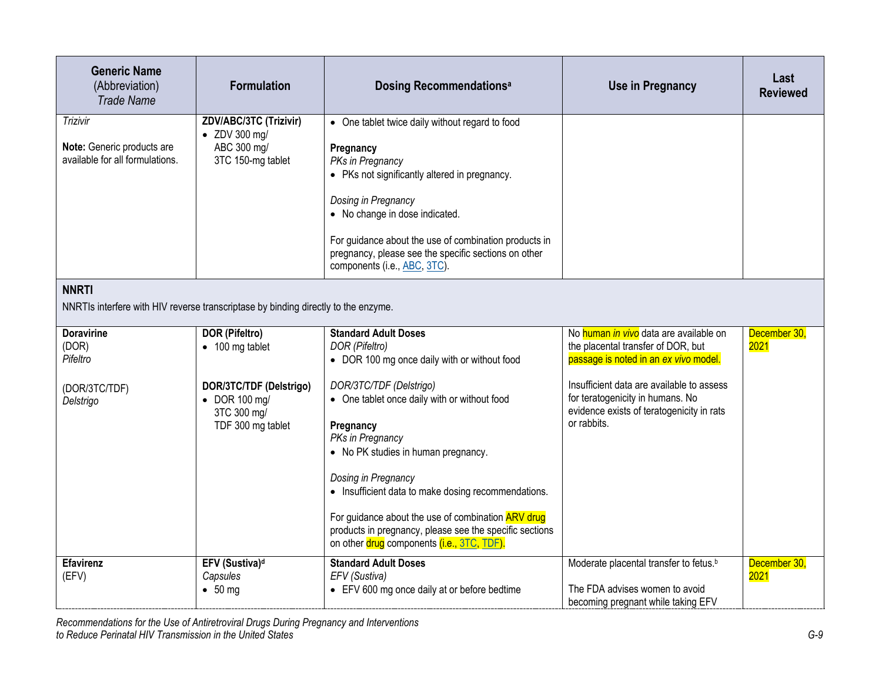| <b>Generic Name</b><br>(Abbreviation)<br><b>Trade Name</b>                | <b>Formulation</b>                                                                   | <b>Dosing Recommendationsal</b>                                                                                                                                                                                                                                                                                                                                                              | <b>Use in Pregnancy</b>                                                                                                                   | Last<br><b>Reviewed</b> |  |  |
|---------------------------------------------------------------------------|--------------------------------------------------------------------------------------|----------------------------------------------------------------------------------------------------------------------------------------------------------------------------------------------------------------------------------------------------------------------------------------------------------------------------------------------------------------------------------------------|-------------------------------------------------------------------------------------------------------------------------------------------|-------------------------|--|--|
| Trizivir<br>Note: Generic products are<br>available for all formulations. | ZDV/ABC/3TC (Trizivir)<br>• ZDV 300 mg/<br>ABC 300 mg/<br>3TC 150-mg tablet          | • One tablet twice daily without regard to food<br>Pregnancy<br>PKs in Pregnancy<br>• PKs not significantly altered in pregnancy.<br>Dosing in Pregnancy<br>• No change in dose indicated.<br>For guidance about the use of combination products in<br>pregnancy, please see the specific sections on other<br>components (i.e., ABC, 3TC).                                                  |                                                                                                                                           |                         |  |  |
| <b>NNRTI</b>                                                              | NNRTIs interfere with HIV reverse transcriptase by binding directly to the enzyme.   |                                                                                                                                                                                                                                                                                                                                                                                              |                                                                                                                                           |                         |  |  |
| <b>Doravirine</b><br>(DOR)<br>Pifeltro                                    | <b>DOR (Pifeltro)</b><br>$\bullet$ 100 mg tablet                                     | <b>Standard Adult Doses</b><br>DOR (Pifeltro)<br>• DOR 100 mg once daily with or without food                                                                                                                                                                                                                                                                                                | No human in vivo data are available on<br>the placental transfer of DOR, but<br>passage is noted in an ex vivo model.                     | December 30,<br>2021    |  |  |
| (DOR/3TC/TDF)<br>Delstrigo                                                | DOR/3TC/TDF (Delstrigo)<br>$\bullet$ DOR 100 mg/<br>3TC 300 mg/<br>TDF 300 mg tablet | DOR/3TC/TDF (Delstrigo)<br>• One tablet once daily with or without food<br>Pregnancy<br>PKs in Pregnancy<br>• No PK studies in human pregnancy.<br>Dosing in Pregnancy<br>• Insufficient data to make dosing recommendations.<br>For guidance about the use of combination ARV drug<br>products in pregnancy, please see the specific sections<br>on other drug components (i.e., 3TC, TDF). | Insufficient data are available to assess<br>for teratogenicity in humans. No<br>evidence exists of teratogenicity in rats<br>or rabbits. |                         |  |  |
| <b>Efavirenz</b><br>(EFV)                                                 | EFV (Sustiva) <sup>d</sup><br>Capsules<br>• 50 mg                                    | <b>Standard Adult Doses</b><br>EFV (Sustiva)<br>• EFV 600 mg once daily at or before bedtime                                                                                                                                                                                                                                                                                                 | Moderate placental transfer to fetus. <sup>b</sup><br>The FDA advises women to avoid<br>becoming pregnant while taking EFV                | December 30,<br>2021    |  |  |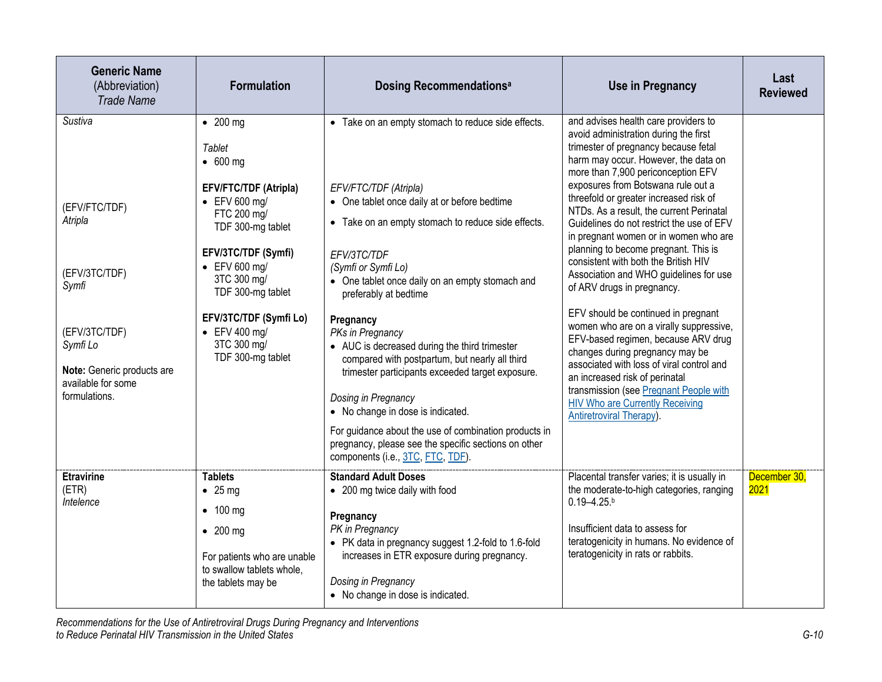| <b>Generic Name</b><br>(Abbreviation)<br><b>Trade Name</b>                                                                                                      | <b>Formulation</b>                                                                                                                                                                                                                                                                                                     | <b>Dosing Recommendationsal</b>                                                                                                                                                                                                                                                                                                                                                                                                                                                                                                                                                                                                                                                                               | <b>Use in Pregnancy</b>                                                                                                                                                                                                                                                                                                                                                                                                                                                                                                                                                                                                                                                                                                                                                                                                                                                                                                                  | Last<br><b>Reviewed</b> |
|-----------------------------------------------------------------------------------------------------------------------------------------------------------------|------------------------------------------------------------------------------------------------------------------------------------------------------------------------------------------------------------------------------------------------------------------------------------------------------------------------|---------------------------------------------------------------------------------------------------------------------------------------------------------------------------------------------------------------------------------------------------------------------------------------------------------------------------------------------------------------------------------------------------------------------------------------------------------------------------------------------------------------------------------------------------------------------------------------------------------------------------------------------------------------------------------------------------------------|------------------------------------------------------------------------------------------------------------------------------------------------------------------------------------------------------------------------------------------------------------------------------------------------------------------------------------------------------------------------------------------------------------------------------------------------------------------------------------------------------------------------------------------------------------------------------------------------------------------------------------------------------------------------------------------------------------------------------------------------------------------------------------------------------------------------------------------------------------------------------------------------------------------------------------------|-------------------------|
| Sustiva<br>(EFV/FTC/TDF)<br>Atripla<br>(EFV/3TC/TDF)<br>Symfi<br>(EFV/3TC/TDF)<br>Symfi Lo<br>Note: Generic products are<br>available for some<br>formulations. | $\bullet$ 200 mg<br>Tablet<br>$\bullet$ 600 mg<br><b>EFV/FTC/TDF (Atripla)</b><br>$\bullet$ EFV 600 mg/<br>FTC 200 mg/<br>TDF 300-mg tablet<br>EFV/3TC/TDF (Symfi)<br>$\bullet$ EFV 600 mg/<br>3TC 300 mg/<br>TDF 300-mg tablet<br>EFV/3TC/TDF (Symfi Lo)<br>$\bullet$ EFV 400 mg/<br>3TC 300 mg/<br>TDF 300-mg tablet | • Take on an empty stomach to reduce side effects.<br>EFV/FTC/TDF (Atripla)<br>• One tablet once daily at or before bedtime<br>• Take on an empty stomach to reduce side effects.<br>EFV/3TC/TDF<br>(Symfi or Symfi Lo)<br>• One tablet once daily on an empty stomach and<br>preferably at bedtime<br>Pregnancy<br>PKs in Pregnancy<br>• AUC is decreased during the third trimester<br>compared with postpartum, but nearly all third<br>trimester participants exceeded target exposure.<br>Dosing in Pregnancy<br>• No change in dose is indicated.<br>For guidance about the use of combination products in<br>pregnancy, please see the specific sections on other<br>components (i.e., 3TC, FTC, TDF). | and advises health care providers to<br>avoid administration during the first<br>trimester of pregnancy because fetal<br>harm may occur. However, the data on<br>more than 7,900 periconception EFV<br>exposures from Botswana rule out a<br>threefold or greater increased risk of<br>NTDs. As a result, the current Perinatal<br>Guidelines do not restrict the use of EFV<br>in pregnant women or in women who are<br>planning to become pregnant. This is<br>consistent with both the British HIV<br>Association and WHO guidelines for use<br>of ARV drugs in pregnancy.<br>EFV should be continued in pregnant<br>women who are on a virally suppressive,<br>EFV-based regimen, because ARV drug<br>changes during pregnancy may be<br>associated with loss of viral control and<br>an increased risk of perinatal<br>transmission (see Pregnant People with<br><b>HIV Who are Currently Receiving</b><br>Antiretroviral Therapy). |                         |
| <b>Etravirine</b><br>(ETR)<br>Intelence                                                                                                                         | <b>Tablets</b><br>$\bullet$ 25 mg<br>$\bullet$ 100 mg<br>$\bullet$ 200 mg<br>For patients who are unable<br>to swallow tablets whole,<br>the tablets may be                                                                                                                                                            | <b>Standard Adult Doses</b><br>• 200 mg twice daily with food<br>Pregnancy<br>PK in Pregnancy<br>• PK data in pregnancy suggest 1.2-fold to 1.6-fold<br>increases in ETR exposure during pregnancy.<br>Dosing in Pregnancy<br>• No change in dose is indicated.                                                                                                                                                                                                                                                                                                                                                                                                                                               | Placental transfer varies; it is usually in<br>the moderate-to-high categories, ranging<br>$0.19 - 4.25$ .<br>Insufficient data to assess for<br>teratogenicity in humans. No evidence of<br>teratogenicity in rats or rabbits.                                                                                                                                                                                                                                                                                                                                                                                                                                                                                                                                                                                                                                                                                                          | December 30,<br>2021    |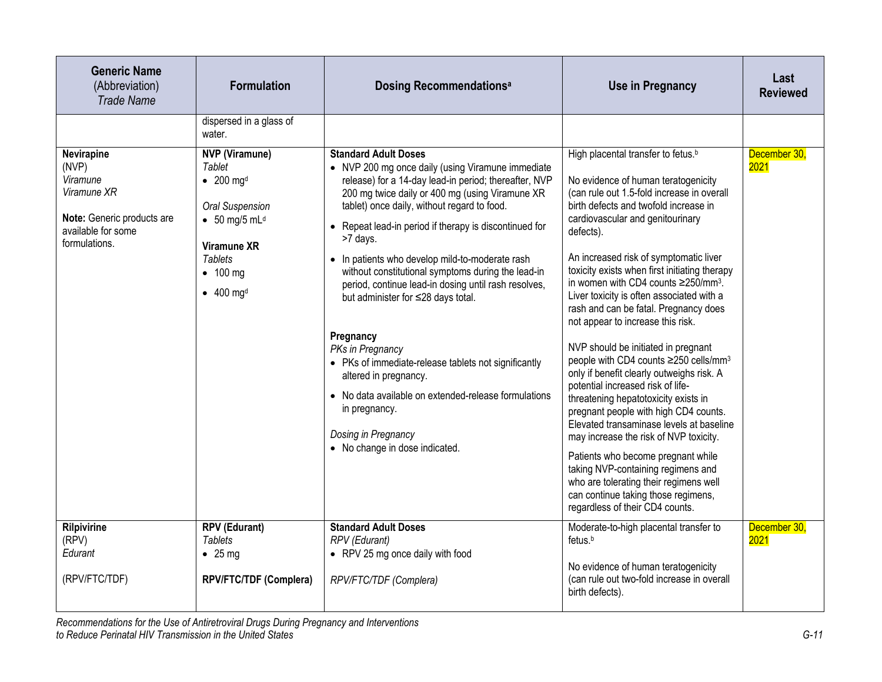| <b>Generic Name</b><br>(Abbreviation)<br><b>Trade Name</b>                                                          | <b>Formulation</b>                                                                                                                                                                                                                  | <b>Dosing Recommendationsal</b>                                                                                                                                                                                                                                                                                                                                                                                                                                                                                                                                                                                                                                                                                                                                              | <b>Use in Pregnancy</b>                                                                                                                                                                                                                                                                                                                                                                                                                                                                                                                                                                                                                                                                                                                                                                                                                                                                                                                                                                                                                                     | Last<br><b>Reviewed</b> |
|---------------------------------------------------------------------------------------------------------------------|-------------------------------------------------------------------------------------------------------------------------------------------------------------------------------------------------------------------------------------|------------------------------------------------------------------------------------------------------------------------------------------------------------------------------------------------------------------------------------------------------------------------------------------------------------------------------------------------------------------------------------------------------------------------------------------------------------------------------------------------------------------------------------------------------------------------------------------------------------------------------------------------------------------------------------------------------------------------------------------------------------------------------|-------------------------------------------------------------------------------------------------------------------------------------------------------------------------------------------------------------------------------------------------------------------------------------------------------------------------------------------------------------------------------------------------------------------------------------------------------------------------------------------------------------------------------------------------------------------------------------------------------------------------------------------------------------------------------------------------------------------------------------------------------------------------------------------------------------------------------------------------------------------------------------------------------------------------------------------------------------------------------------------------------------------------------------------------------------|-------------------------|
|                                                                                                                     | dispersed in a glass of<br>water.                                                                                                                                                                                                   |                                                                                                                                                                                                                                                                                                                                                                                                                                                                                                                                                                                                                                                                                                                                                                              |                                                                                                                                                                                                                                                                                                                                                                                                                                                                                                                                                                                                                                                                                                                                                                                                                                                                                                                                                                                                                                                             |                         |
| Nevirapine<br>(NVP)<br>Viramune<br>Viramune XR<br>Note: Generic products are<br>available for some<br>formulations. | <b>NVP</b> (Viramune)<br><b>Tablet</b><br>$\bullet$ 200 mg <sup>d</sup><br><b>Oral Suspension</b><br>$\bullet$ 50 mg/5 mL <sup>d</sup><br><b>Viramune XR</b><br><b>Tablets</b><br>$\bullet$ 100 mg<br>$\bullet$ 400 mg <sup>d</sup> | <b>Standard Adult Doses</b><br>• NVP 200 mg once daily (using Viramune immediate<br>release) for a 14-day lead-in period; thereafter, NVP<br>200 mg twice daily or 400 mg (using Viramune XR<br>tablet) once daily, without regard to food.<br>• Repeat lead-in period if therapy is discontinued for<br>>7 days.<br>• In patients who develop mild-to-moderate rash<br>without constitutional symptoms during the lead-in<br>period, continue lead-in dosing until rash resolves,<br>but administer for ≤28 days total.<br>Pregnancy<br>PKs in Pregnancy<br>• PKs of immediate-release tablets not significantly<br>altered in pregnancy.<br>• No data available on extended-release formulations<br>in pregnancy.<br>Dosing in Pregnancy<br>• No change in dose indicated. | High placental transfer to fetus. <sup>b</sup><br>No evidence of human teratogenicity<br>(can rule out 1.5-fold increase in overall<br>birth defects and twofold increase in<br>cardiovascular and genitourinary<br>defects).<br>An increased risk of symptomatic liver<br>toxicity exists when first initiating therapy<br>in women with CD4 counts ≥250/mm <sup>3</sup> .<br>Liver toxicity is often associated with a<br>rash and can be fatal. Pregnancy does<br>not appear to increase this risk.<br>NVP should be initiated in pregnant<br>people with CD4 counts ≥250 cells/mm <sup>3</sup><br>only if benefit clearly outweighs risk. A<br>potential increased risk of life-<br>threatening hepatotoxicity exists in<br>pregnant people with high CD4 counts.<br>Elevated transaminase levels at baseline<br>may increase the risk of NVP toxicity.<br>Patients who become pregnant while<br>taking NVP-containing regimens and<br>who are tolerating their regimens well<br>can continue taking those regimens,<br>regardless of their CD4 counts. | December 30,<br>2021    |
| <b>Rilpivirine</b><br>(RPV)<br>Edurant                                                                              | <b>RPV (Edurant)</b><br><b>Tablets</b><br>$\bullet$ 25 mg                                                                                                                                                                           | <b>Standard Adult Doses</b><br><b>RPV</b> (Edurant)<br>• RPV 25 mg once daily with food                                                                                                                                                                                                                                                                                                                                                                                                                                                                                                                                                                                                                                                                                      | Moderate-to-high placental transfer to<br>fetus. <sup>b</sup>                                                                                                                                                                                                                                                                                                                                                                                                                                                                                                                                                                                                                                                                                                                                                                                                                                                                                                                                                                                               | December 30,<br>2021    |
| (RPV/FTC/TDF)                                                                                                       | RPV/FTC/TDF (Complera)                                                                                                                                                                                                              | RPV/FTC/TDF (Complera)                                                                                                                                                                                                                                                                                                                                                                                                                                                                                                                                                                                                                                                                                                                                                       | No evidence of human teratogenicity<br>(can rule out two-fold increase in overall<br>birth defects).                                                                                                                                                                                                                                                                                                                                                                                                                                                                                                                                                                                                                                                                                                                                                                                                                                                                                                                                                        |                         |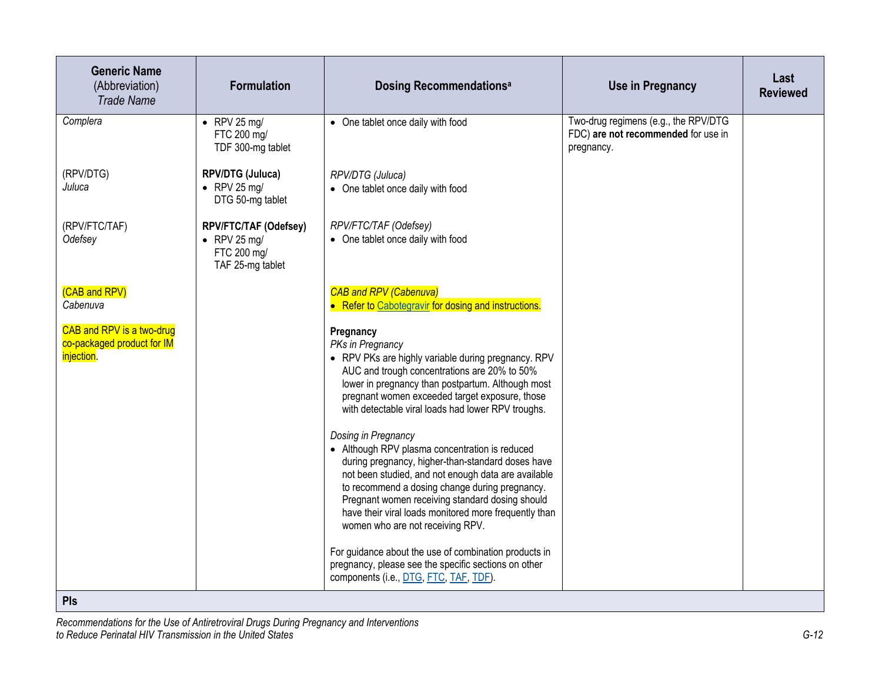| <b>Generic Name</b><br>(Abbreviation)<br><b>Trade Name</b>                   | <b>Formulation</b>                                                               | <b>Dosing Recommendationsal</b>                                                                                                                                                                                                                                                                                                                                                                                                                                                                                                                                                                                                                                                                                                                                                                                                                     | <b>Use in Pregnancy</b>                                                                   | Last<br><b>Reviewed</b> |
|------------------------------------------------------------------------------|----------------------------------------------------------------------------------|-----------------------------------------------------------------------------------------------------------------------------------------------------------------------------------------------------------------------------------------------------------------------------------------------------------------------------------------------------------------------------------------------------------------------------------------------------------------------------------------------------------------------------------------------------------------------------------------------------------------------------------------------------------------------------------------------------------------------------------------------------------------------------------------------------------------------------------------------------|-------------------------------------------------------------------------------------------|-------------------------|
| Complera                                                                     | $\bullet$ RPV 25 mg/<br>FTC 200 mg/<br>TDF 300-mg tablet                         | • One tablet once daily with food                                                                                                                                                                                                                                                                                                                                                                                                                                                                                                                                                                                                                                                                                                                                                                                                                   | Two-drug regimens (e.g., the RPV/DTG<br>FDC) are not recommended for use in<br>pregnancy. |                         |
| (RPV/DTG)<br>Juluca                                                          | RPV/DTG (Juluca)<br>$\bullet$ RPV 25 mg/<br>DTG 50-mg tablet                     | RPV/DTG (Juluca)<br>• One tablet once daily with food                                                                                                                                                                                                                                                                                                                                                                                                                                                                                                                                                                                                                                                                                                                                                                                               |                                                                                           |                         |
| (RPV/FTC/TAF)<br>Odefsey                                                     | RPV/FTC/TAF (Odefsey)<br>$\bullet$ RPV 25 mg/<br>FTC 200 mg/<br>TAF 25-mg tablet | RPV/FTC/TAF (Odefsey)<br>• One tablet once daily with food                                                                                                                                                                                                                                                                                                                                                                                                                                                                                                                                                                                                                                                                                                                                                                                          |                                                                                           |                         |
| (CAB and RPV)<br>Cabenuva                                                    |                                                                                  | <b>CAB and RPV (Cabenuva)</b><br>• Refer to Cabotegravir for dosing and instructions.                                                                                                                                                                                                                                                                                                                                                                                                                                                                                                                                                                                                                                                                                                                                                               |                                                                                           |                         |
| CAB and RPV is a two-drug<br>co-packaged product for IM<br><i>injection.</i> |                                                                                  | Pregnancy<br>PKs in Pregnancy<br>• RPV PKs are highly variable during pregnancy. RPV<br>AUC and trough concentrations are 20% to 50%<br>lower in pregnancy than postpartum. Although most<br>pregnant women exceeded target exposure, those<br>with detectable viral loads had lower RPV troughs.<br>Dosing in Pregnancy<br>• Although RPV plasma concentration is reduced<br>during pregnancy, higher-than-standard doses have<br>not been studied, and not enough data are available<br>to recommend a dosing change during pregnancy.<br>Pregnant women receiving standard dosing should<br>have their viral loads monitored more frequently than<br>women who are not receiving RPV.<br>For guidance about the use of combination products in<br>pregnancy, please see the specific sections on other<br>components (i.e., DTG, FTC, TAF, TDF). |                                                                                           |                         |
| Pls                                                                          |                                                                                  |                                                                                                                                                                                                                                                                                                                                                                                                                                                                                                                                                                                                                                                                                                                                                                                                                                                     |                                                                                           |                         |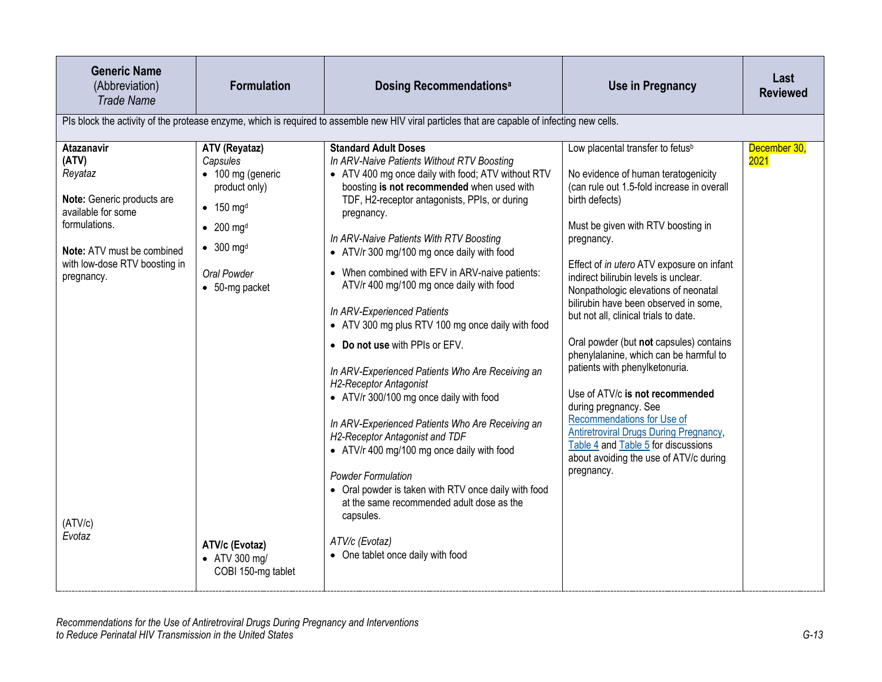| <b>Generic Name</b><br>(Abbreviation)<br><b>Trade Name</b>                                                                                                                                                   | <b>Formulation</b>                                                                                                                                                                                                                                                           | Dosing Recommendations <sup>a</sup>                                                                                                                                                                                                                                                                                                                                                                                                                                                                                                                                                                                                                                                                                                                                                                                                                                                                                                                                                                                                  | <b>Use in Pregnancy</b>                                                                                                                                                                                                                                                                                                                                                                                                                                                                                                                                                                                                                                                                                                                                                                  | Last<br><b>Reviewed</b> |
|--------------------------------------------------------------------------------------------------------------------------------------------------------------------------------------------------------------|------------------------------------------------------------------------------------------------------------------------------------------------------------------------------------------------------------------------------------------------------------------------------|--------------------------------------------------------------------------------------------------------------------------------------------------------------------------------------------------------------------------------------------------------------------------------------------------------------------------------------------------------------------------------------------------------------------------------------------------------------------------------------------------------------------------------------------------------------------------------------------------------------------------------------------------------------------------------------------------------------------------------------------------------------------------------------------------------------------------------------------------------------------------------------------------------------------------------------------------------------------------------------------------------------------------------------|------------------------------------------------------------------------------------------------------------------------------------------------------------------------------------------------------------------------------------------------------------------------------------------------------------------------------------------------------------------------------------------------------------------------------------------------------------------------------------------------------------------------------------------------------------------------------------------------------------------------------------------------------------------------------------------------------------------------------------------------------------------------------------------|-------------------------|
|                                                                                                                                                                                                              |                                                                                                                                                                                                                                                                              | Pls block the activity of the protease enzyme, which is required to assemble new HIV viral particles that are capable of infecting new cells.                                                                                                                                                                                                                                                                                                                                                                                                                                                                                                                                                                                                                                                                                                                                                                                                                                                                                        |                                                                                                                                                                                                                                                                                                                                                                                                                                                                                                                                                                                                                                                                                                                                                                                          |                         |
| <b>Atazanavir</b><br>(ATV)<br>Reyataz<br>Note: Generic products are<br>available for some<br>formulations.<br>Note: ATV must be combined<br>with low-dose RTV boosting in<br>pregnancy.<br>(ATV/c)<br>Evotaz | ATV (Reyataz)<br>Capsules<br>• 100 mg (generic<br>product only)<br>$\bullet$ 150 mg <sup>d</sup><br>$\bullet$ 200 mg <sup>d</sup><br>$\bullet$ 300 mg <sup>d</sup><br>Oral Powder<br>$\bullet$ 50-mg packet<br>ATV/c (Evotaz)<br>$\bullet$ ATV 300 mg/<br>COBI 150-mg tablet | <b>Standard Adult Doses</b><br>In ARV-Naive Patients Without RTV Boosting<br>• ATV 400 mg once daily with food; ATV without RTV<br>boosting is not recommended when used with<br>TDF, H2-receptor antagonists, PPIs, or during<br>pregnancy.<br>In ARV-Naive Patients With RTV Boosting<br>• ATV/r 300 mg/100 mg once daily with food<br>• When combined with EFV in ARV-naive patients:<br>ATV/r 400 mg/100 mg once daily with food<br>In ARV-Experienced Patients<br>• ATV 300 mg plus RTV 100 mg once daily with food<br>• Do not use with PPIs or EFV.<br>In ARV-Experienced Patients Who Are Receiving an<br><b>H2-Receptor Antagonist</b><br>• ATV/r 300/100 mg once daily with food<br>In ARV-Experienced Patients Who Are Receiving an<br>H2-Receptor Antagonist and TDF<br>• ATV/r 400 mg/100 mg once daily with food<br><b>Powder Formulation</b><br>• Oral powder is taken with RTV once daily with food<br>at the same recommended adult dose as the<br>capsules.<br>ATV/c (Evotaz)<br>• One tablet once daily with food | Low placental transfer to fetus <sup>b</sup><br>No evidence of human teratogenicity<br>(can rule out 1.5-fold increase in overall<br>birth defects)<br>Must be given with RTV boosting in<br>pregnancy.<br>Effect of in utero ATV exposure on infant<br>indirect bilirubin levels is unclear.<br>Nonpathologic elevations of neonatal<br>bilirubin have been observed in some,<br>but not all, clinical trials to date.<br>Oral powder (but not capsules) contains<br>phenylalanine, which can be harmful to<br>patients with phenylketonuria.<br>Use of ATV/c is not recommended<br>during pregnancy. See<br>Recommendations for Use of<br><b>Antiretroviral Drugs During Pregnancy,</b><br>Table 4 and Table 5 for discussions<br>about avoiding the use of ATV/c during<br>pregnancy. | December 30,<br>2021    |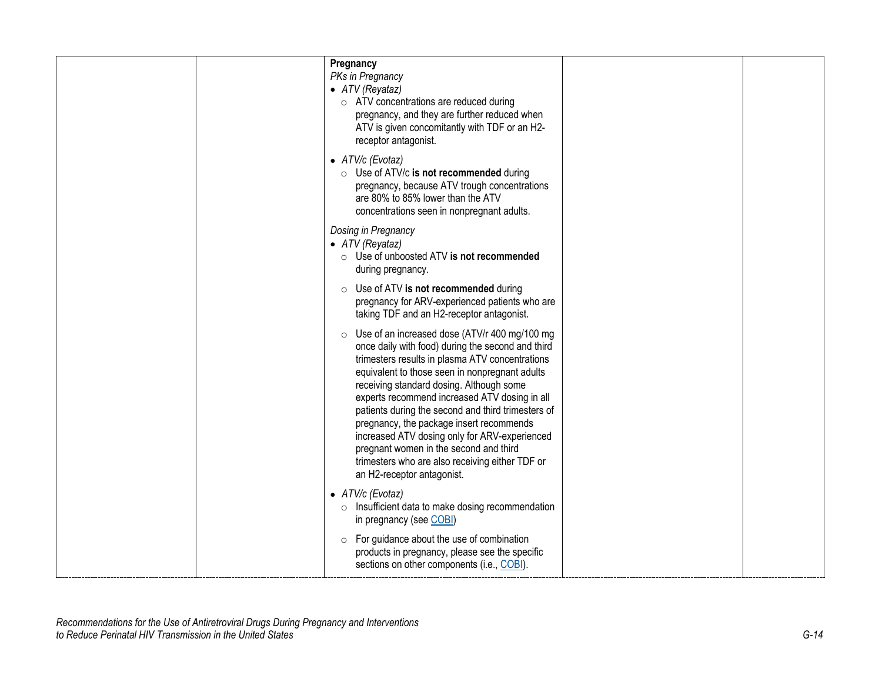| Pregnancy<br>PKs in Pregnancy<br>• ATV (Reyataz)<br>o ATV concentrations are reduced during<br>pregnancy, and they are further reduced when<br>ATV is given concomitantly with TDF or an H2-<br>receptor antagonist.                                                                                                                                                                                                                                                                                                                                                                 |  |
|--------------------------------------------------------------------------------------------------------------------------------------------------------------------------------------------------------------------------------------------------------------------------------------------------------------------------------------------------------------------------------------------------------------------------------------------------------------------------------------------------------------------------------------------------------------------------------------|--|
| • ATV/c (Evotaz)<br>$\circ$ Use of ATV/c is not recommended during<br>pregnancy, because ATV trough concentrations<br>are 80% to 85% lower than the ATV<br>concentrations seen in nonpregnant adults.                                                                                                                                                                                                                                                                                                                                                                                |  |
| Dosing in Pregnancy<br>• $ATV$ (Reyataz)<br>○ Use of unboosted ATV is not recommended<br>during pregnancy.                                                                                                                                                                                                                                                                                                                                                                                                                                                                           |  |
| ○ Use of ATV is not recommended during<br>pregnancy for ARV-experienced patients who are<br>taking TDF and an H2-receptor antagonist.                                                                                                                                                                                                                                                                                                                                                                                                                                                |  |
| ○ Use of an increased dose (ATV/r 400 mg/100 mg<br>once daily with food) during the second and third<br>trimesters results in plasma ATV concentrations<br>equivalent to those seen in nonpregnant adults<br>receiving standard dosing. Although some<br>experts recommend increased ATV dosing in all<br>patients during the second and third trimesters of<br>pregnancy, the package insert recommends<br>increased ATV dosing only for ARV-experienced<br>pregnant women in the second and third<br>trimesters who are also receiving either TDF or<br>an H2-receptor antagonist. |  |
| • ATV/c (Evotaz)<br>$\circ$ Insufficient data to make dosing recommendation<br>in pregnancy (see COBI)                                                                                                                                                                                                                                                                                                                                                                                                                                                                               |  |
| $\circ$ For guidance about the use of combination<br>products in pregnancy, please see the specific<br>sections on other components (i.e., COBI).                                                                                                                                                                                                                                                                                                                                                                                                                                    |  |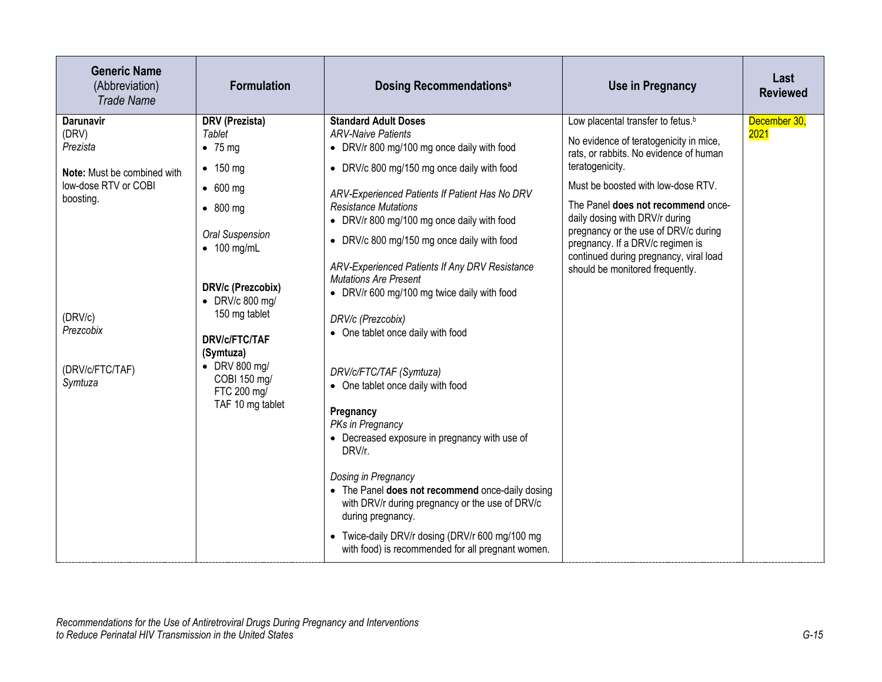| <b>Generic Name</b><br>(Abbreviation)<br><b>Trade Name</b>                                                | <b>Formulation</b>                                                                                                                                                                                       | <b>Dosing Recommendationsal</b>                                                                                                                                                                                                                                                                                                                                                                                                                                               | <b>Use in Pregnancy</b>                                                                                                                                                                                                                                                                                                                                                                                                     | Last<br><b>Reviewed</b> |
|-----------------------------------------------------------------------------------------------------------|----------------------------------------------------------------------------------------------------------------------------------------------------------------------------------------------------------|-------------------------------------------------------------------------------------------------------------------------------------------------------------------------------------------------------------------------------------------------------------------------------------------------------------------------------------------------------------------------------------------------------------------------------------------------------------------------------|-----------------------------------------------------------------------------------------------------------------------------------------------------------------------------------------------------------------------------------------------------------------------------------------------------------------------------------------------------------------------------------------------------------------------------|-------------------------|
| <b>Darunavir</b><br>(DRV)<br>Prezista<br>Note: Must be combined with<br>low-dose RTV or COBI<br>boosting. | DRV (Prezista)<br>Tablet<br>$\bullet$ 75 mg<br>$\bullet$ 150 mg<br>$\bullet$ 600 mg<br>$\bullet$ 800 mg<br><b>Oral Suspension</b><br>$\bullet$ 100 mg/mL<br>DRV/c (Prezcobix)<br>$\bullet$ DRV/c 800 mg/ | <b>Standard Adult Doses</b><br><b>ARV-Naive Patients</b><br>• DRV/r 800 mg/100 mg once daily with food<br>• DRV/c 800 mg/150 mg once daily with food<br>ARV-Experienced Patients If Patient Has No DRV<br><b>Resistance Mutations</b><br>• DRV/r 800 mg/100 mg once daily with food<br>• DRV/c 800 mg/150 mg once daily with food<br>ARV-Experienced Patients If Any DRV Resistance<br><b>Mutations Are Present</b><br>• DRV/r 600 mg/100 mg twice daily with food            | Low placental transfer to fetus. <sup>b</sup><br>No evidence of teratogenicity in mice,<br>rats, or rabbits. No evidence of human<br>teratogenicity.<br>Must be boosted with low-dose RTV.<br>The Panel does not recommend once-<br>daily dosing with DRV/r during<br>pregnancy or the use of DRV/c during<br>pregnancy. If a DRV/c regimen is<br>continued during pregnancy, viral load<br>should be monitored frequently. | December 30,<br>2021    |
| (DRV/c)<br>Prezcobix<br>(DRV/c/FTC/TAF)<br>Symtuza                                                        | 150 mg tablet<br><b>DRV/c/FTC/TAF</b><br>(Symtuza)<br>$\bullet$ DRV 800 mg/<br>COBI 150 mg/<br>FTC 200 mg/<br>TAF 10 mg tablet                                                                           | DRV/c (Prezcobix)<br>• One tablet once daily with food<br>DRV/c/FTC/TAF (Symtuza)<br>• One tablet once daily with food<br>Pregnancy<br>PKs in Pregnancy<br>• Decreased exposure in pregnancy with use of<br>DRV/r.<br>Dosing in Pregnancy<br>• The Panel does not recommend once-daily dosing<br>with DRV/r during pregnancy or the use of DRV/c<br>during pregnancy.<br>• Twice-daily DRV/r dosing (DRV/r 600 mg/100 mg<br>with food) is recommended for all pregnant women. |                                                                                                                                                                                                                                                                                                                                                                                                                             |                         |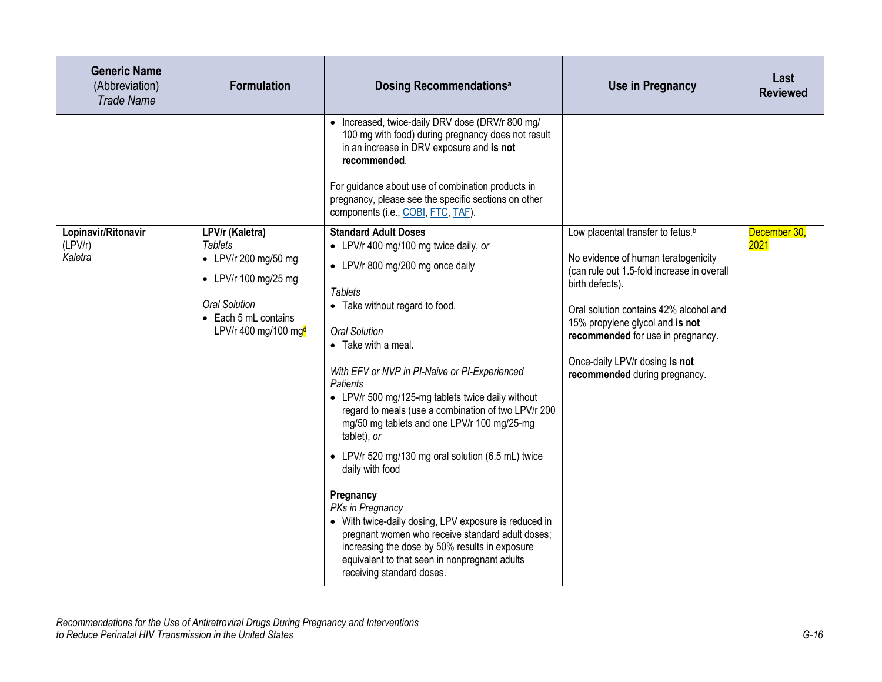| <b>Generic Name</b><br>(Abbreviation)<br><b>Trade Name</b> | <b>Formulation</b>                                                                                                                                                                    | <b>Dosing Recommendationsal</b>                                                                                                                                                                                                                                                                                                                                                                                                                                                                                                                                                                                                                                                                                                                                                                           | <b>Use in Pregnancy</b>                                                                                                                                                                                                                                                                                                                    | Last<br><b>Reviewed</b> |
|------------------------------------------------------------|---------------------------------------------------------------------------------------------------------------------------------------------------------------------------------------|-----------------------------------------------------------------------------------------------------------------------------------------------------------------------------------------------------------------------------------------------------------------------------------------------------------------------------------------------------------------------------------------------------------------------------------------------------------------------------------------------------------------------------------------------------------------------------------------------------------------------------------------------------------------------------------------------------------------------------------------------------------------------------------------------------------|--------------------------------------------------------------------------------------------------------------------------------------------------------------------------------------------------------------------------------------------------------------------------------------------------------------------------------------------|-------------------------|
|                                                            |                                                                                                                                                                                       | • Increased, twice-daily DRV dose (DRV/r 800 mg/<br>100 mg with food) during pregnancy does not result<br>in an increase in DRV exposure and is not<br>recommended.<br>For guidance about use of combination products in<br>pregnancy, please see the specific sections on other<br>components (i.e., COBI, FTC, TAF).                                                                                                                                                                                                                                                                                                                                                                                                                                                                                    |                                                                                                                                                                                                                                                                                                                                            |                         |
| Lopinavir/Ritonavir<br>(LPV/r)<br>Kaletra                  | LPV/r (Kaletra)<br><b>Tablets</b><br>• LPV/r 200 mg/50 mg<br>$\bullet$ LPV/r 100 mg/25 mg<br><b>Oral Solution</b><br>$\bullet$ Each 5 mL contains<br>LPV/r 400 mg/100 mg <sup>d</sup> | <b>Standard Adult Doses</b><br>• LPV/r 400 mg/100 mg twice daily, or<br>• LPV/r 800 mg/200 mg once daily<br><b>Tablets</b><br>• Take without regard to food.<br><b>Oral Solution</b><br>• Take with a meal.<br>With EFV or NVP in PI-Naive or PI-Experienced<br>Patients<br>• LPV/r 500 mg/125-mg tablets twice daily without<br>regard to meals (use a combination of two LPV/r 200<br>mg/50 mg tablets and one LPV/r 100 mg/25-mg<br>tablet), or<br>• LPV/r 520 mg/130 mg oral solution (6.5 mL) twice<br>daily with food<br>Pregnancy<br>PKs in Pregnancy<br>• With twice-daily dosing, LPV exposure is reduced in<br>pregnant women who receive standard adult doses;<br>increasing the dose by 50% results in exposure<br>equivalent to that seen in nonpregnant adults<br>receiving standard doses. | Low placental transfer to fetus. <sup>b</sup><br>No evidence of human teratogenicity<br>(can rule out 1.5-fold increase in overall<br>birth defects).<br>Oral solution contains 42% alcohol and<br>15% propylene glycol and is not<br>recommended for use in pregnancy.<br>Once-daily LPV/r dosing is not<br>recommended during pregnancy. | December 30,<br>2021    |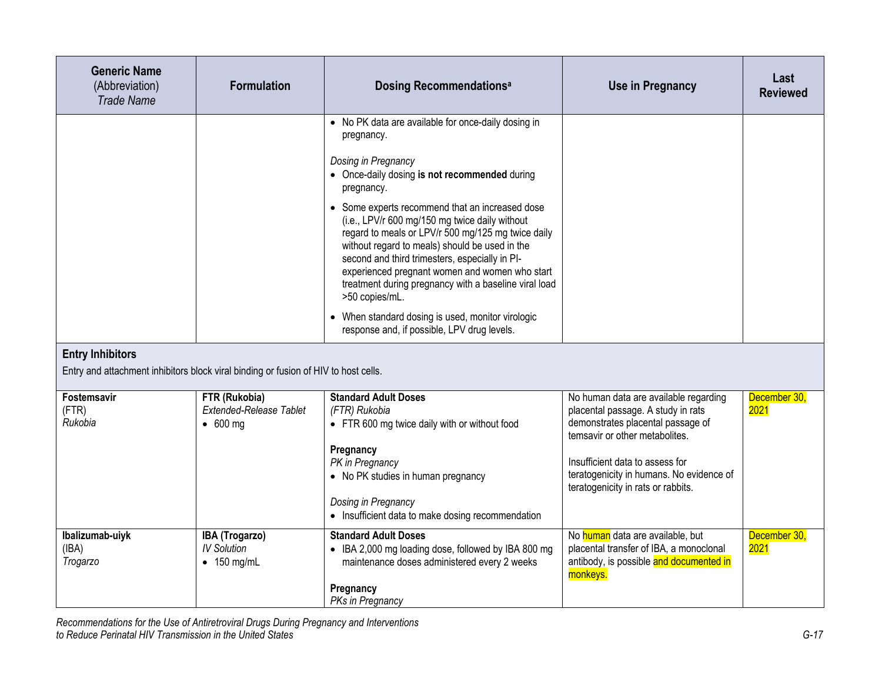| <b>Generic Name</b><br>(Abbreviation)<br><b>Trade Name</b>                                                     | <b>Formulation</b>                                           | <b>Dosing Recommendationsal</b>                                                                                                                                                                                                                                                                                                                                                                                                                                                                                                                                                                                                                         | <b>Use in Pregnancy</b>                                                                                                                                                                                                                                                 | Last<br><b>Reviewed</b> |
|----------------------------------------------------------------------------------------------------------------|--------------------------------------------------------------|---------------------------------------------------------------------------------------------------------------------------------------------------------------------------------------------------------------------------------------------------------------------------------------------------------------------------------------------------------------------------------------------------------------------------------------------------------------------------------------------------------------------------------------------------------------------------------------------------------------------------------------------------------|-------------------------------------------------------------------------------------------------------------------------------------------------------------------------------------------------------------------------------------------------------------------------|-------------------------|
|                                                                                                                |                                                              | • No PK data are available for once-daily dosing in<br>pregnancy.<br>Dosing in Pregnancy<br>• Once-daily dosing is not recommended during<br>pregnancy.<br>• Some experts recommend that an increased dose<br>(i.e., LPV/r 600 mg/150 mg twice daily without<br>regard to meals or LPV/r 500 mg/125 mg twice daily<br>without regard to meals) should be used in the<br>second and third trimesters, especially in PI-<br>experienced pregnant women and women who start<br>treatment during pregnancy with a baseline viral load<br>>50 copies/mL.<br>• When standard dosing is used, monitor virologic<br>response and, if possible, LPV drug levels. |                                                                                                                                                                                                                                                                         |                         |
| <b>Entry Inhibitors</b><br>Entry and attachment inhibitors block viral binding or fusion of HIV to host cells. |                                                              |                                                                                                                                                                                                                                                                                                                                                                                                                                                                                                                                                                                                                                                         |                                                                                                                                                                                                                                                                         |                         |
| Fostemsavir<br>(FTR)<br>Rukobia                                                                                | FTR (Rukobia)<br>Extended-Release Tablet<br>$\bullet$ 600 mg | <b>Standard Adult Doses</b><br>(FTR) Rukobia<br>• FTR 600 mg twice daily with or without food<br>Pregnancy<br>PK in Pregnancy<br>• No PK studies in human pregnancy<br>Dosing in Pregnancy<br>• Insufficient data to make dosing recommendation                                                                                                                                                                                                                                                                                                                                                                                                         | No human data are available regarding<br>placental passage. A study in rats<br>demonstrates placental passage of<br>temsavir or other metabolites.<br>Insufficient data to assess for<br>teratogenicity in humans. No evidence of<br>teratogenicity in rats or rabbits. | December 30,<br>2021    |
| Ibalizumab-uiyk<br>(IBA)<br>Trogarzo                                                                           | IBA (Trogarzo)<br><b>IV Solution</b><br>$\bullet$ 150 mg/mL  | <b>Standard Adult Doses</b><br>• IBA 2,000 mg loading dose, followed by IBA 800 mg<br>maintenance doses administered every 2 weeks<br>Pregnancy<br>PKs in Pregnancy                                                                                                                                                                                                                                                                                                                                                                                                                                                                                     | No human data are available, but<br>placental transfer of IBA, a monoclonal<br>antibody, is possible and documented in<br>monkeys.                                                                                                                                      | December 30,<br>2021    |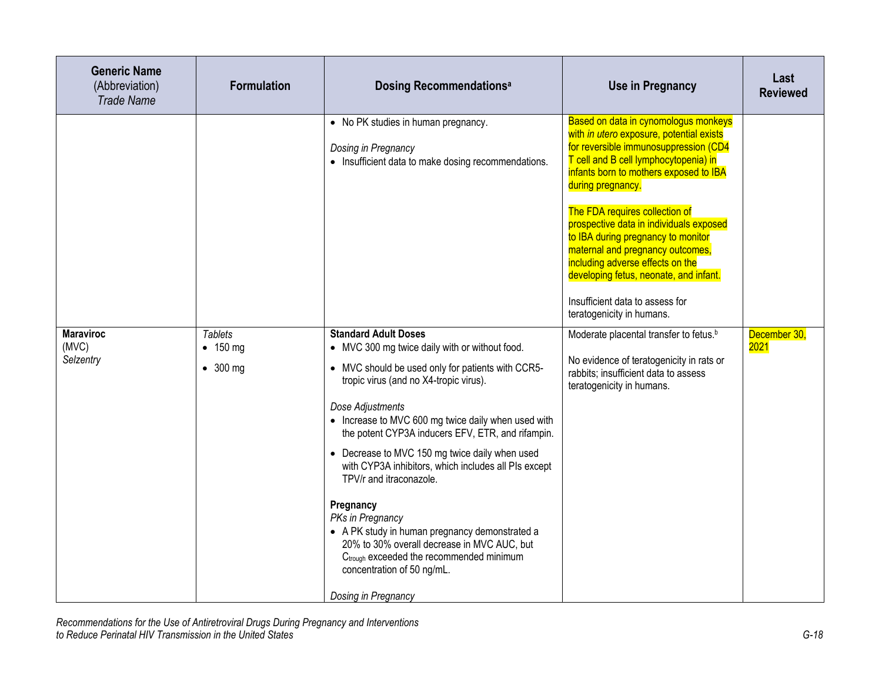| <b>Generic Name</b><br>(Abbreviation)<br><b>Trade Name</b> | <b>Formulation</b>                                     | <b>Dosing Recommendationsal</b>                                                                                                                                                                                                                                                                                                                                                                                                                                                                                                                                                                                                                                                                  | <b>Use in Pregnancy</b>                                                                                                                                                                                                                                                                                                                                                                                                                                                                                                                | Last<br><b>Reviewed</b>     |
|------------------------------------------------------------|--------------------------------------------------------|--------------------------------------------------------------------------------------------------------------------------------------------------------------------------------------------------------------------------------------------------------------------------------------------------------------------------------------------------------------------------------------------------------------------------------------------------------------------------------------------------------------------------------------------------------------------------------------------------------------------------------------------------------------------------------------------------|----------------------------------------------------------------------------------------------------------------------------------------------------------------------------------------------------------------------------------------------------------------------------------------------------------------------------------------------------------------------------------------------------------------------------------------------------------------------------------------------------------------------------------------|-----------------------------|
|                                                            |                                                        | • No PK studies in human pregnancy.<br>Dosing in Pregnancy<br>• Insufficient data to make dosing recommendations.                                                                                                                                                                                                                                                                                                                                                                                                                                                                                                                                                                                | Based on data in cynomologus monkeys<br>with in utero exposure, potential exists<br>for reversible immunosuppression (CD4<br>T cell and B cell lymphocytopenia) in<br>infants born to mothers exposed to IBA<br>during pregnancy.<br>The FDA requires collection of<br>prospective data in individuals exposed<br>to IBA during pregnancy to monitor<br>maternal and pregnancy outcomes,<br>including adverse effects on the<br>developing fetus, neonate, and infant.<br>Insufficient data to assess for<br>teratogenicity in humans. |                             |
| <b>Maraviroc</b><br>(MVC)<br>Selzentry                     | <b>Tablets</b><br>$\bullet$ 150 mg<br>$\bullet$ 300 mg | <b>Standard Adult Doses</b><br>• MVC 300 mg twice daily with or without food.<br>• MVC should be used only for patients with CCR5-<br>tropic virus (and no X4-tropic virus).<br>Dose Adjustments<br>• Increase to MVC 600 mg twice daily when used with<br>the potent CYP3A inducers EFV, ETR, and rifampin.<br>• Decrease to MVC 150 mg twice daily when used<br>with CYP3A inhibitors, which includes all PIs except<br>TPV/r and itraconazole.<br>Pregnancy<br>PKs in Pregnancy<br>• A PK study in human pregnancy demonstrated a<br>20% to 30% overall decrease in MVC AUC, but<br>C <sub>trough</sub> exceeded the recommended minimum<br>concentration of 50 ng/mL.<br>Dosing in Pregnancy | Moderate placental transfer to fetus. <sup>b</sup><br>No evidence of teratogenicity in rats or<br>rabbits; insufficient data to assess<br>teratogenicity in humans.                                                                                                                                                                                                                                                                                                                                                                    | December 30,<br><b>2021</b> |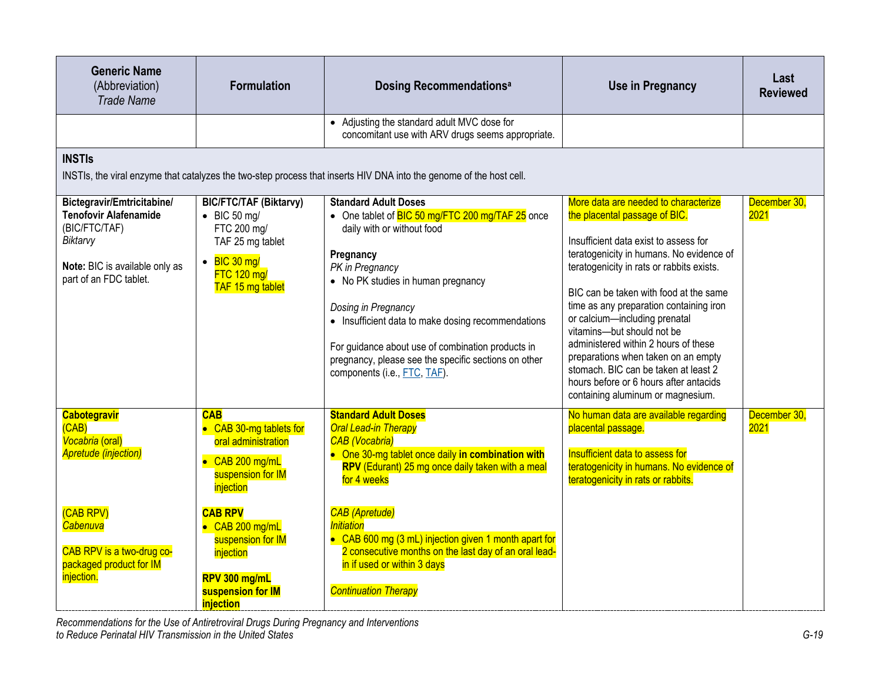| <b>Generic Name</b><br>(Abbreviation)<br><b>Trade Name</b>                                                                                          | <b>Formulation</b>                                                                                                                                         | Dosing Recommendations <sup>a</sup>                                                                                                                                                                                                                                                                                                                                                                           | <b>Use in Pregnancy</b>                                                                                                                                                                                                                                                                                                                                                                                                                                                                                                                                           | Last<br><b>Reviewed</b> |
|-----------------------------------------------------------------------------------------------------------------------------------------------------|------------------------------------------------------------------------------------------------------------------------------------------------------------|---------------------------------------------------------------------------------------------------------------------------------------------------------------------------------------------------------------------------------------------------------------------------------------------------------------------------------------------------------------------------------------------------------------|-------------------------------------------------------------------------------------------------------------------------------------------------------------------------------------------------------------------------------------------------------------------------------------------------------------------------------------------------------------------------------------------------------------------------------------------------------------------------------------------------------------------------------------------------------------------|-------------------------|
|                                                                                                                                                     |                                                                                                                                                            | • Adjusting the standard adult MVC dose for<br>concomitant use with ARV drugs seems appropriate.                                                                                                                                                                                                                                                                                                              |                                                                                                                                                                                                                                                                                                                                                                                                                                                                                                                                                                   |                         |
| <b>INSTIS</b>                                                                                                                                       |                                                                                                                                                            | INSTIs, the viral enzyme that catalyzes the two-step process that inserts HIV DNA into the genome of the host cell.                                                                                                                                                                                                                                                                                           |                                                                                                                                                                                                                                                                                                                                                                                                                                                                                                                                                                   |                         |
| Bictegravir/Emtricitabine/<br><b>Tenofovir Alafenamide</b><br>(BIC/FTC/TAF)<br>Biktarvy<br>Note: BIC is available only as<br>part of an FDC tablet. | <b>BIC/FTC/TAF (Biktarvy)</b><br>$\bullet$ BIC 50 mg/<br>FTC 200 mg/<br>TAF 25 mg tablet<br>$\bullet$ BIC 30 mg/<br><b>FTC 120 mg/</b><br>TAF 15 mg tablet | <b>Standard Adult Doses</b><br>• One tablet of BIC 50 mg/FTC 200 mg/TAF 25 once<br>daily with or without food<br>Pregnancy<br>PK in Pregnancy<br>• No PK studies in human pregnancy<br>Dosing in Pregnancy<br>• Insufficient data to make dosing recommendations<br>For guidance about use of combination products in<br>pregnancy, please see the specific sections on other<br>components (i.e., FTC, TAF). | More data are needed to characterize<br>the placental passage of BIC.<br>Insufficient data exist to assess for<br>teratogenicity in humans. No evidence of<br>teratogenicity in rats or rabbits exists.<br>BIC can be taken with food at the same<br>time as any preparation containing iron<br>or calcium-including prenatal<br>vitamins-but should not be<br>administered within 2 hours of these<br>preparations when taken on an empty<br>stomach. BIC can be taken at least 2<br>hours before or 6 hours after antacids<br>containing aluminum or magnesium. | December 30,<br>2021    |
| <b>Cabotegravir</b><br>(CAB)<br>Vocabria (oral)<br><b>Apretude (injection)</b><br>(CAB RPV)                                                         | <b>CAB</b><br>• CAB 30-mg tablets for<br>oral administration<br>• CAB 200 mg/mL<br>suspension for IM<br>injection<br><b>CAB RPV</b>                        | <b>Standard Adult Doses</b><br><b>Oral Lead-in Therapy</b><br><b>CAB</b> (Vocabria)<br>• One 30-mg tablet once daily in combination with<br>RPV (Edurant) 25 mg once daily taken with a meal<br>for 4 weeks<br><b>CAB</b> (Apretude)                                                                                                                                                                          | No human data are available regarding<br>placental passage.<br><b>Insufficient data to assess for</b><br>teratogenicity in humans. No evidence of<br>teratogenicity in rats or rabbits.                                                                                                                                                                                                                                                                                                                                                                           | December 30,<br>2021    |
| Cabenuva<br>CAB RPV is a two-drug co-<br>packaged product for IM<br>injection.                                                                      | • CAB 200 mg/mL<br>suspension for IM<br>injection<br>RPV 300 mg/mL<br>suspension for IM<br>injection                                                       | <i><b>Initiation</b></i><br>• CAB 600 mg (3 mL) injection given 1 month apart for<br>2 consecutive months on the last day of an oral lead-<br>in if used or within 3 days<br><b>Continuation Therapy</b>                                                                                                                                                                                                      |                                                                                                                                                                                                                                                                                                                                                                                                                                                                                                                                                                   |                         |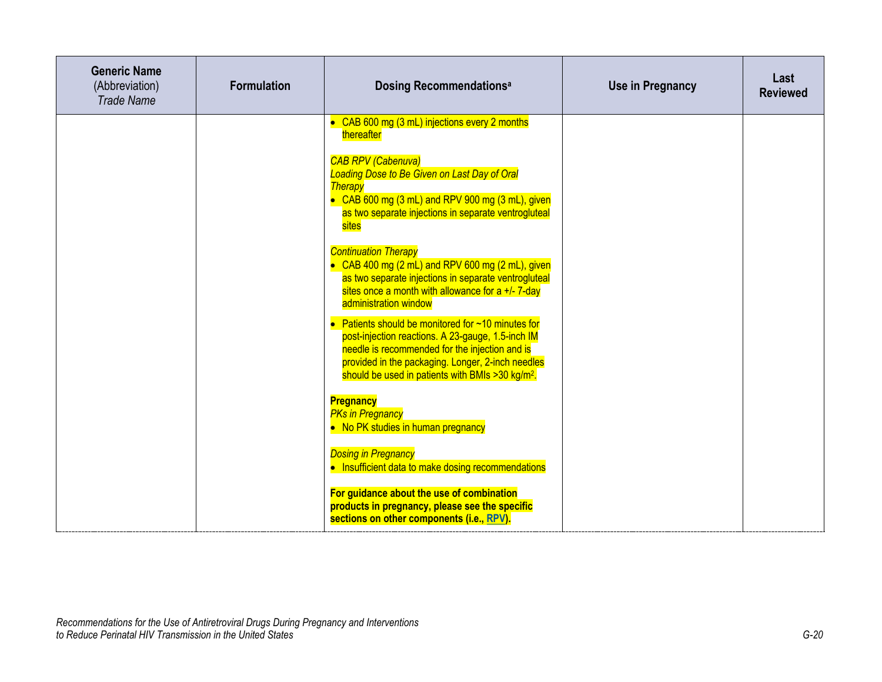| <b>Generic Name</b><br>(Abbreviation)<br><b>Trade Name</b> | <b>Formulation</b> | <b>Dosing Recommendationsal</b>                                                                                                                                                                                                                                                        | <b>Use in Pregnancy</b> | Last<br><b>Reviewed</b> |
|------------------------------------------------------------|--------------------|----------------------------------------------------------------------------------------------------------------------------------------------------------------------------------------------------------------------------------------------------------------------------------------|-------------------------|-------------------------|
|                                                            |                    | • CAB 600 mg (3 mL) injections every 2 months<br>thereafter<br><b>CAB RPV (Cabenuva)</b><br><b>Loading Dose to Be Given on Last Day of Oral</b><br><b>Therapy</b><br>• CAB 600 mg (3 mL) and RPV 900 mg (3 mL), given<br>as two separate injections in separate ventrogluteal<br>sites |                         |                         |
|                                                            |                    | <b>Continuation Therapy</b><br>• CAB 400 mg $(2 \text{ mL})$ and RPV 600 mg $(2 \text{ mL})$ , given<br>as two separate injections in separate ventrogluteal<br>sites once a month with allowance for a +/- 7-day<br>administration window                                             |                         |                         |
|                                                            |                    | Patients should be monitored for ~10 minutes for<br>post-injection reactions. A 23-gauge, 1.5-inch IM<br>needle is recommended for the injection and is<br>provided in the packaging. Longer, 2-inch needles<br>should be used in patients with BMIs > 30 kg/m <sup>2</sup> .          |                         |                         |
|                                                            |                    | <b>Pregnancy</b><br><b>PKs in Pregnancy</b><br>• No PK studies in human pregnancy                                                                                                                                                                                                      |                         |                         |
|                                                            |                    | <b>Dosing in Pregnancy</b><br>• Insufficient data to make dosing recommendations                                                                                                                                                                                                       |                         |                         |
|                                                            |                    | For guidance about the use of combination<br>products in pregnancy, please see the specific<br>sections on other components (i.e., RPV).                                                                                                                                               |                         |                         |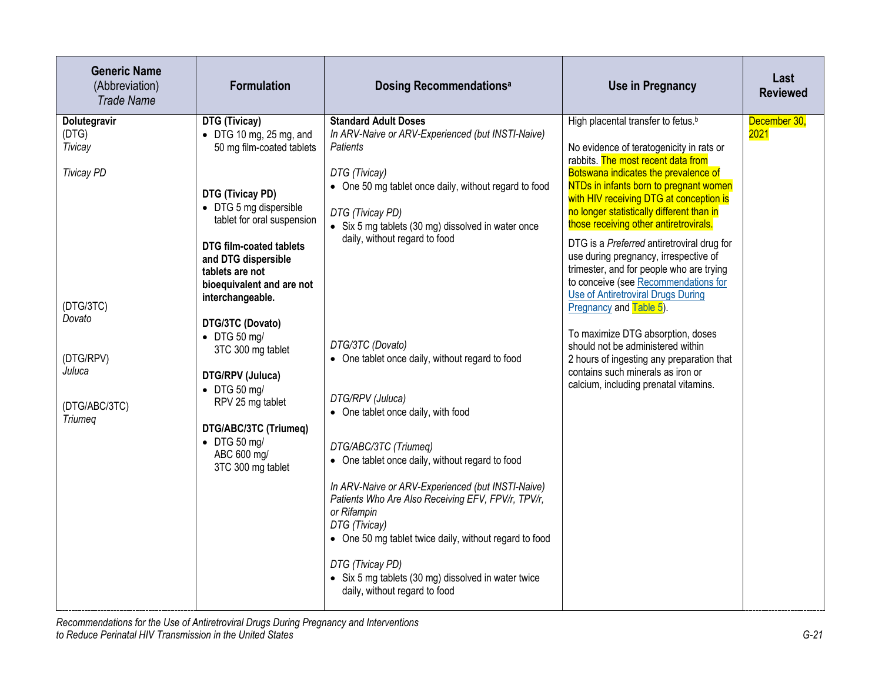| <b>Generic Name</b><br>(Abbreviation)<br><b>Trade Name</b>                                                                             | <b>Formulation</b>                                                                                                                                                                                                                                                                                                                                                                                                                                                                                           | <b>Dosing Recommendations<sup>a</sup></b>                                                                                                                                                                                                                                                                                                                                                                                                                                                                                                                                                                                                                                                                                                                                                                       | <b>Use in Pregnancy</b>                                                                                                                                                                                                                                                                                                                                                                                                                                                                                                                                                                                                                                                                                                                                                                                          | Last<br><b>Reviewed</b> |
|----------------------------------------------------------------------------------------------------------------------------------------|--------------------------------------------------------------------------------------------------------------------------------------------------------------------------------------------------------------------------------------------------------------------------------------------------------------------------------------------------------------------------------------------------------------------------------------------------------------------------------------------------------------|-----------------------------------------------------------------------------------------------------------------------------------------------------------------------------------------------------------------------------------------------------------------------------------------------------------------------------------------------------------------------------------------------------------------------------------------------------------------------------------------------------------------------------------------------------------------------------------------------------------------------------------------------------------------------------------------------------------------------------------------------------------------------------------------------------------------|------------------------------------------------------------------------------------------------------------------------------------------------------------------------------------------------------------------------------------------------------------------------------------------------------------------------------------------------------------------------------------------------------------------------------------------------------------------------------------------------------------------------------------------------------------------------------------------------------------------------------------------------------------------------------------------------------------------------------------------------------------------------------------------------------------------|-------------------------|
| Dolutegravir<br>(DTG)<br>Tivicay<br><b>Tivicay PD</b><br>(DTG/3TC)<br>Dovato<br>(DTG/RPV)<br>Juluca<br>(DTG/ABC/3TC)<br><b>Triumeq</b> | DTG (Tivicay)<br>$\bullet$ DTG 10 mg, 25 mg, and<br>50 mg film-coated tablets<br>DTG (Tivicay PD)<br>• DTG 5 mg dispersible<br>tablet for oral suspension<br><b>DTG film-coated tablets</b><br>and DTG dispersible<br>tablets are not<br>bioequivalent and are not<br>interchangeable.<br>DTG/3TC (Dovato)<br>$\bullet$ DTG 50 mg/<br>3TC 300 mg tablet<br>DTG/RPV (Juluca)<br>$\bullet$ DTG 50 mg/<br>RPV 25 mg tablet<br>DTG/ABC/3TC (Triumeq)<br>$\bullet$ DTG 50 mg/<br>ABC 600 mg/<br>3TC 300 mg tablet | <b>Standard Adult Doses</b><br>In ARV-Naive or ARV-Experienced (but INSTI-Naive)<br>Patients<br>DTG (Tivicay)<br>• One 50 mg tablet once daily, without regard to food<br>DTG (Tivicay PD)<br>• Six 5 mg tablets (30 mg) dissolved in water once<br>daily, without regard to food<br>DTG/3TC (Dovato)<br>• One tablet once daily, without regard to food<br>DTG/RPV (Juluca)<br>• One tablet once daily, with food<br>DTG/ABC/3TC (Triumeg)<br>• One tablet once daily, without regard to food<br>In ARV-Naive or ARV-Experienced (but INSTI-Naive)<br>Patients Who Are Also Receiving EFV, FPV/r, TPV/r,<br>or Rifampin<br>DTG (Tivicay)<br>• One 50 mg tablet twice daily, without regard to food<br>DTG (Tivicay PD)<br>• Six 5 mg tablets (30 mg) dissolved in water twice<br>daily, without regard to food | High placental transfer to fetus. <sup>b</sup><br>No evidence of teratogenicity in rats or<br>rabbits. The most recent data from<br>Botswana indicates the prevalence of<br>NTDs in infants born to pregnant women<br>with HIV receiving DTG at conception is<br>no longer statistically different than in<br>those receiving other antiretrovirals.<br>DTG is a Preferred antiretroviral drug for<br>use during pregnancy, irrespective of<br>trimester, and for people who are trying<br>to conceive (see Recommendations for<br><b>Use of Antiretroviral Drugs During</b><br>$Preqnancy$ and $Table 5$ .<br>To maximize DTG absorption, doses<br>should not be administered within<br>2 hours of ingesting any preparation that<br>contains such minerals as iron or<br>calcium, including prenatal vitamins. | December 30,<br>2021    |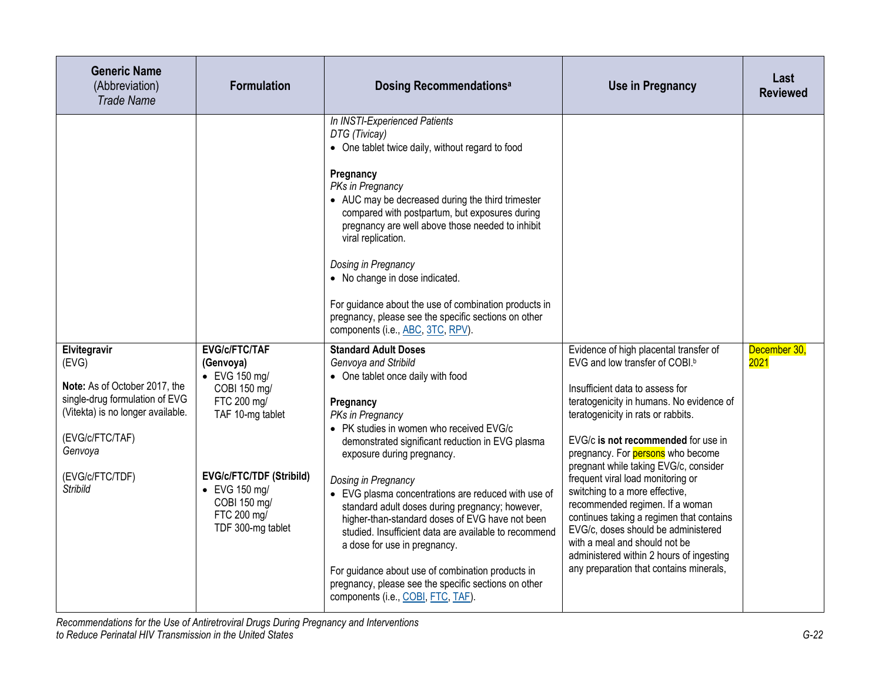| <b>Generic Name</b><br>(Abbreviation)<br><b>Trade Name</b>                                                                                                                                        | <b>Formulation</b>                                                                                                                                                                                                            | <b>Dosing Recommendationsal</b>                                                                                                                                                                                                                                                                                                                                                                                                                                                                                                                                                                                                                                                                                                                                                                                                                                                                                                                                                                                                                                                                                                                                                                                                | Use in Pregnancy                                                                                                                                                                                                                                                                                                                                                                                                                                                                                                                                                                                                                                           | Last<br><b>Reviewed</b> |
|---------------------------------------------------------------------------------------------------------------------------------------------------------------------------------------------------|-------------------------------------------------------------------------------------------------------------------------------------------------------------------------------------------------------------------------------|--------------------------------------------------------------------------------------------------------------------------------------------------------------------------------------------------------------------------------------------------------------------------------------------------------------------------------------------------------------------------------------------------------------------------------------------------------------------------------------------------------------------------------------------------------------------------------------------------------------------------------------------------------------------------------------------------------------------------------------------------------------------------------------------------------------------------------------------------------------------------------------------------------------------------------------------------------------------------------------------------------------------------------------------------------------------------------------------------------------------------------------------------------------------------------------------------------------------------------|------------------------------------------------------------------------------------------------------------------------------------------------------------------------------------------------------------------------------------------------------------------------------------------------------------------------------------------------------------------------------------------------------------------------------------------------------------------------------------------------------------------------------------------------------------------------------------------------------------------------------------------------------------|-------------------------|
| Elvitegravir<br>(EVG)<br>Note: As of October 2017, the<br>single-drug formulation of EVG<br>(Vitekta) is no longer available.<br>(EVG/c/FTC/TAF)<br>Genvoya<br>(EVG/c/FTC/TDF)<br><b>Stribild</b> | <b>EVG/c/FTC/TAF</b><br>(Genvoya)<br>$\bullet$ EVG 150 mg/<br>COBI 150 mg/<br>FTC 200 mg/<br>TAF 10-mg tablet<br><b>EVG/c/FTC/TDF (Stribild)</b><br>$\bullet$ EVG 150 mg/<br>COBI 150 mg/<br>FTC 200 mg/<br>TDF 300-mg tablet | In INSTI-Experienced Patients<br>DTG (Tivicay)<br>• One tablet twice daily, without regard to food<br>Pregnancy<br>PKs in Pregnancy<br>• AUC may be decreased during the third trimester<br>compared with postpartum, but exposures during<br>pregnancy are well above those needed to inhibit<br>viral replication.<br>Dosing in Pregnancy<br>• No change in dose indicated.<br>For guidance about the use of combination products in<br>pregnancy, please see the specific sections on other<br>components (i.e., ABC, 3TC, RPV).<br><b>Standard Adult Doses</b><br>Genvoya and Stribild<br>• One tablet once daily with food<br>Pregnancy<br>PKs in Pregnancy<br>• PK studies in women who received EVG/c<br>demonstrated significant reduction in EVG plasma<br>exposure during pregnancy.<br>Dosing in Pregnancy<br>• EVG plasma concentrations are reduced with use of<br>standard adult doses during pregnancy; however,<br>higher-than-standard doses of EVG have not been<br>studied. Insufficient data are available to recommend<br>a dose for use in pregnancy.<br>For guidance about use of combination products in<br>pregnancy, please see the specific sections on other<br>components (i.e., COBI, FTC, TAF). | Evidence of high placental transfer of<br>EVG and low transfer of COBI. <sup>b</sup><br>Insufficient data to assess for<br>teratogenicity in humans. No evidence of<br>teratogenicity in rats or rabbits.<br>EVG/c is not recommended for use in<br>pregnancy. For <b>persons</b> who become<br>pregnant while taking EVG/c, consider<br>frequent viral load monitoring or<br>switching to a more effective,<br>recommended regimen. If a woman<br>continues taking a regimen that contains<br>EVG/c, doses should be administered<br>with a meal and should not be<br>administered within 2 hours of ingesting<br>any preparation that contains minerals, | December 30,<br>2021    |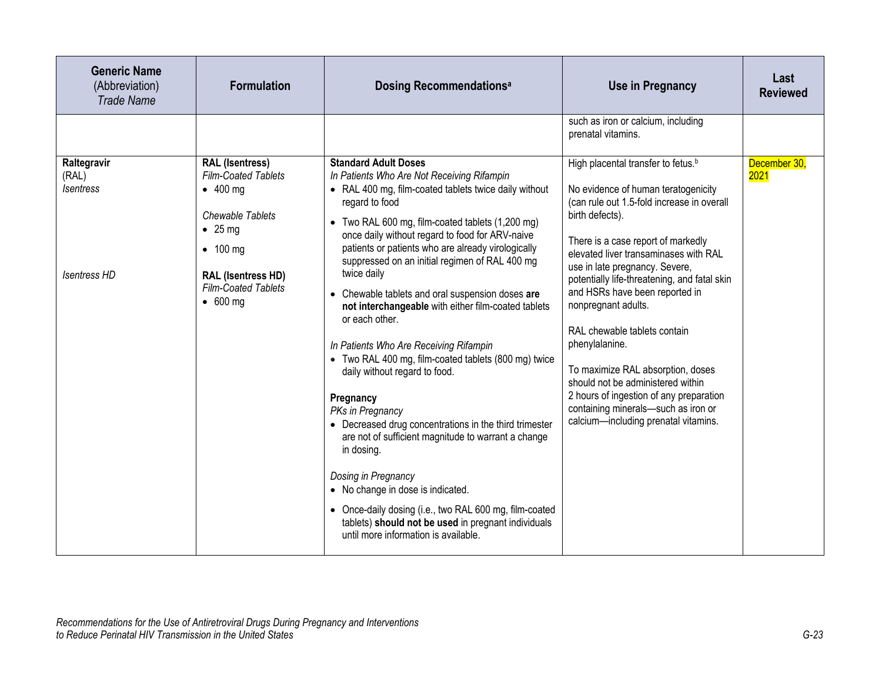| <b>Generic Name</b><br>(Abbreviation)<br><b>Trade Name</b>      | <b>Formulation</b>                                                                                                                                                                                                 | <b>Dosing Recommendations<sup>a</sup></b>                                                                                                                                                                                                                                                                                                                                                                                                                                                                                                                                                                                                                                                                                                                                                                                                                                                                                                                                                                                               | <b>Use in Pregnancy</b>                                                                                                                                                                                                                                                                                                                                                                                                                                                                                                                                                                                                                | Last<br><b>Reviewed</b> |
|-----------------------------------------------------------------|--------------------------------------------------------------------------------------------------------------------------------------------------------------------------------------------------------------------|-----------------------------------------------------------------------------------------------------------------------------------------------------------------------------------------------------------------------------------------------------------------------------------------------------------------------------------------------------------------------------------------------------------------------------------------------------------------------------------------------------------------------------------------------------------------------------------------------------------------------------------------------------------------------------------------------------------------------------------------------------------------------------------------------------------------------------------------------------------------------------------------------------------------------------------------------------------------------------------------------------------------------------------------|----------------------------------------------------------------------------------------------------------------------------------------------------------------------------------------------------------------------------------------------------------------------------------------------------------------------------------------------------------------------------------------------------------------------------------------------------------------------------------------------------------------------------------------------------------------------------------------------------------------------------------------|-------------------------|
|                                                                 |                                                                                                                                                                                                                    |                                                                                                                                                                                                                                                                                                                                                                                                                                                                                                                                                                                                                                                                                                                                                                                                                                                                                                                                                                                                                                         | such as iron or calcium, including<br>prenatal vitamins.                                                                                                                                                                                                                                                                                                                                                                                                                                                                                                                                                                               |                         |
| Raltegravir<br>(RAL)<br><i>Isentress</i><br><b>Isentress HD</b> | <b>RAL (Isentress)</b><br><b>Film-Coated Tablets</b><br>$\bullet$ 400 mg<br>Chewable Tablets<br>$\bullet$ 25 mg<br>$\bullet$ 100 mg<br><b>RAL (Isentress HD)</b><br><b>Film-Coated Tablets</b><br>$\bullet$ 600 mg | <b>Standard Adult Doses</b><br>In Patients Who Are Not Receiving Rifampin<br>• RAL 400 mg, film-coated tablets twice daily without<br>regard to food<br>• Two RAL 600 mg, film-coated tablets (1,200 mg)<br>once daily without regard to food for ARV-naive<br>patients or patients who are already virologically<br>suppressed on an initial regimen of RAL 400 mg<br>twice daily<br>• Chewable tablets and oral suspension doses are<br>not interchangeable with either film-coated tablets<br>or each other.<br>In Patients Who Are Receiving Rifampin<br>• Two RAL 400 mg, film-coated tablets (800 mg) twice<br>daily without regard to food.<br>Pregnancy<br>PKs in Pregnancy<br>• Decreased drug concentrations in the third trimester<br>are not of sufficient magnitude to warrant a change<br>in dosing.<br>Dosing in Pregnancy<br>• No change in dose is indicated.<br>• Once-daily dosing (i.e., two RAL 600 mg, film-coated<br>tablets) should not be used in pregnant individuals<br>until more information is available. | High placental transfer to fetus. <sup>b</sup><br>No evidence of human teratogenicity<br>(can rule out 1.5-fold increase in overall<br>birth defects).<br>There is a case report of markedly<br>elevated liver transaminases with RAL<br>use in late pregnancy. Severe,<br>potentially life-threatening, and fatal skin<br>and HSRs have been reported in<br>nonpregnant adults.<br>RAL chewable tablets contain<br>phenylalanine.<br>To maximize RAL absorption, doses<br>should not be administered within<br>2 hours of ingestion of any preparation<br>containing minerals-such as iron or<br>calcium-including prenatal vitamins. | December 30,<br>2021    |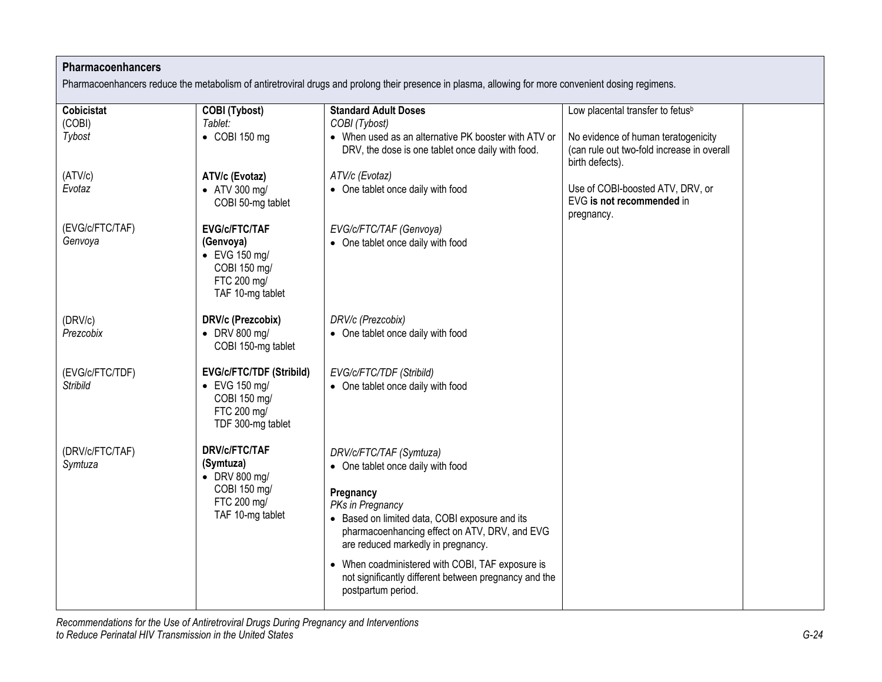## **Pharmacoenhancers**

Pharmacoenhancers reduce the metabolism of antiretroviral drugs and prolong their presence in plasma, allowing for more convenient dosing regimens.

| <b>Cobicistat</b>          | <b>COBI</b> (Tybost)                                                                                          | <b>Standard Adult Doses</b>                                                         | Low placental transfer to fetus <sup>b</sup>                                |  |
|----------------------------|---------------------------------------------------------------------------------------------------------------|-------------------------------------------------------------------------------------|-----------------------------------------------------------------------------|--|
| (COBI)                     | Tablet:                                                                                                       | COBI (Tybost)                                                                       |                                                                             |  |
| Tybost                     | $\bullet$ COBI 150 mg                                                                                         | • When used as an alternative PK booster with ATV or                                | No evidence of human teratogenicity                                         |  |
|                            |                                                                                                               | DRV, the dose is one tablet once daily with food.                                   | (can rule out two-fold increase in overall<br>birth defects).               |  |
| (ATV/c)                    | ATV/c (Evotaz)                                                                                                | ATV/c (Evotaz)                                                                      |                                                                             |  |
| Evotaz                     | • ATV 300 mg/<br>COBI 50-mg tablet                                                                            | • One tablet once daily with food                                                   | Use of COBI-boosted ATV, DRV, or<br>EVG is not recommended in<br>pregnancy. |  |
| (EVG/c/FTC/TAF)<br>Genvoya | <b>EVG/c/FTC/TAF</b><br>(Genvoya)<br>$\bullet$ EVG 150 mg/<br>COBI 150 mg/<br>FTC 200 mg/<br>TAF 10-mg tablet | EVG/c/FTC/TAF (Genvoya)<br>• One tablet once daily with food                        |                                                                             |  |
| (DRV/c)                    | DRV/c (Prezcobix)                                                                                             | DRV/c (Prezcobix)                                                                   |                                                                             |  |
| Prezcobix                  | $\bullet$ DRV 800 mg/<br>COBI 150-mg tablet                                                                   | • One tablet once daily with food                                                   |                                                                             |  |
| (EVG/c/FTC/TDF)            | <b>EVG/c/FTC/TDF (Stribild)</b>                                                                               | EVG/c/FTC/TDF (Stribild)                                                            |                                                                             |  |
| <b>Stribild</b>            | $\bullet$ EVG 150 mg/<br>COBI 150 mg/<br>FTC 200 mg/<br>TDF 300-mg tablet                                     | • One tablet once daily with food                                                   |                                                                             |  |
| (DRV/c/FTC/TAF)            | <b>DRV/c/FTC/TAF</b>                                                                                          |                                                                                     |                                                                             |  |
| Symtuza                    | (Symtuza)                                                                                                     | DRV/c/FTC/TAF (Symtuza)<br>• One tablet once daily with food                        |                                                                             |  |
|                            | $\bullet$ DRV 800 mg/                                                                                         |                                                                                     |                                                                             |  |
|                            | COBI 150 mg/                                                                                                  | Pregnancy                                                                           |                                                                             |  |
|                            | FTC 200 mg/                                                                                                   | PKs in Pregnancy                                                                    |                                                                             |  |
|                            | TAF 10-mg tablet                                                                                              | • Based on limited data, COBI exposure and its                                      |                                                                             |  |
|                            |                                                                                                               | pharmacoenhancing effect on ATV, DRV, and EVG<br>are reduced markedly in pregnancy. |                                                                             |  |
|                            |                                                                                                               | • When coadministered with COBI, TAF exposure is                                    |                                                                             |  |
|                            |                                                                                                               | not significantly different between pregnancy and the                               |                                                                             |  |
|                            |                                                                                                               | postpartum period.                                                                  |                                                                             |  |
|                            |                                                                                                               |                                                                                     |                                                                             |  |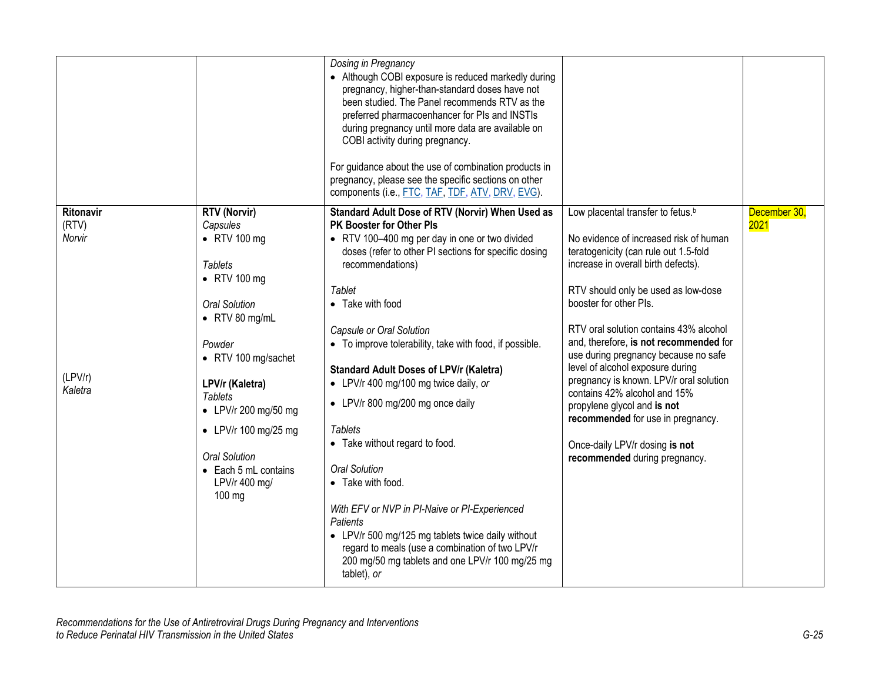|                                                    |                                                                                                                                                                                                                                                                                                                                                        | Dosing in Pregnancy<br>• Although COBI exposure is reduced markedly during<br>pregnancy, higher-than-standard doses have not<br>been studied. The Panel recommends RTV as the<br>preferred pharmacoenhancer for PIs and INSTIs<br>during pregnancy until more data are available on<br>COBI activity during pregnancy.<br>For guidance about the use of combination products in<br>pregnancy, please see the specific sections on other<br>components (i.e., FTC, TAF, TDF, ATV, DRV, EVG).                                                                                                                                                                                                                                                                                                                    |                                                                                                                                                                                                                                                                                                                                                                                                                                                                                                                                                                                                                            |                      |
|----------------------------------------------------|--------------------------------------------------------------------------------------------------------------------------------------------------------------------------------------------------------------------------------------------------------------------------------------------------------------------------------------------------------|----------------------------------------------------------------------------------------------------------------------------------------------------------------------------------------------------------------------------------------------------------------------------------------------------------------------------------------------------------------------------------------------------------------------------------------------------------------------------------------------------------------------------------------------------------------------------------------------------------------------------------------------------------------------------------------------------------------------------------------------------------------------------------------------------------------|----------------------------------------------------------------------------------------------------------------------------------------------------------------------------------------------------------------------------------------------------------------------------------------------------------------------------------------------------------------------------------------------------------------------------------------------------------------------------------------------------------------------------------------------------------------------------------------------------------------------------|----------------------|
| Ritonavir<br>(RTV)<br>Norvir<br>(LPV/r)<br>Kaletra | <b>RTV (Norvir)</b><br>Capsules<br>$\bullet$ RTV 100 mg<br><b>Tablets</b><br>$\bullet$ RTV 100 mg<br><b>Oral Solution</b><br>$\bullet$ RTV 80 mg/mL<br>Powder<br>• RTV 100 mg/sachet<br>LPV/r (Kaletra)<br><b>Tablets</b><br>• LPV/r 200 mg/50 mg<br>• LPV/r 100 mg/25 mg<br><b>Oral Solution</b><br>• Each 5 mL contains<br>LPV/r 400 mg/<br>$100$ mg | Standard Adult Dose of RTV (Norvir) When Used as<br>PK Booster for Other Pls<br>• RTV 100-400 mg per day in one or two divided<br>doses (refer to other PI sections for specific dosing<br>recommendations)<br>Tablet<br>• Take with food<br>Capsule or Oral Solution<br>• To improve tolerability, take with food, if possible.<br><b>Standard Adult Doses of LPV/r (Kaletra)</b><br>• LPV/r 400 mg/100 mg twice daily, or<br>• LPV/r 800 mg/200 mg once daily<br><b>Tablets</b><br>• Take without regard to food.<br><b>Oral Solution</b><br>• Take with food.<br>With EFV or NVP in PI-Naive or PI-Experienced<br><b>Patients</b><br>• LPV/r 500 mg/125 mg tablets twice daily without<br>regard to meals (use a combination of two LPV/r<br>200 mg/50 mg tablets and one LPV/r 100 mg/25 mg<br>tablet), or | Low placental transfer to fetus. <sup>b</sup><br>No evidence of increased risk of human<br>teratogenicity (can rule out 1.5-fold<br>increase in overall birth defects).<br>RTV should only be used as low-dose<br>booster for other PIs.<br>RTV oral solution contains 43% alcohol<br>and, therefore, is not recommended for<br>use during pregnancy because no safe<br>level of alcohol exposure during<br>pregnancy is known. LPV/r oral solution<br>contains 42% alcohol and 15%<br>propylene glycol and is not<br>recommended for use in pregnancy.<br>Once-daily LPV/r dosing is not<br>recommended during pregnancy. | December 30,<br>2021 |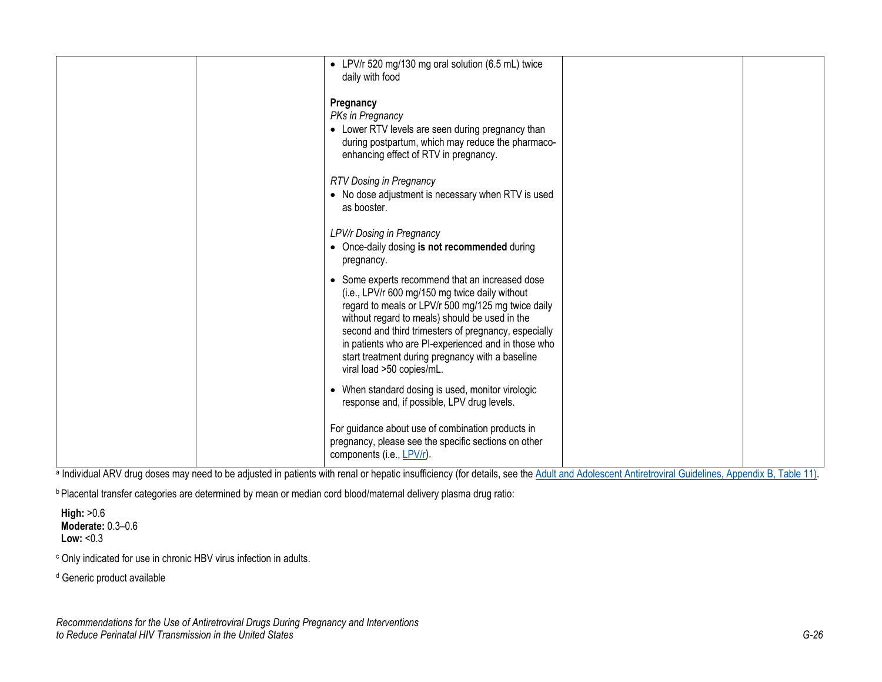|  | • LPV/r 520 mg/130 mg oral solution (6.5 mL) twice<br>daily with food                                                                                                                                                                                                                                                                                                                                     |  |
|--|-----------------------------------------------------------------------------------------------------------------------------------------------------------------------------------------------------------------------------------------------------------------------------------------------------------------------------------------------------------------------------------------------------------|--|
|  | Pregnancy<br>PKs in Pregnancy<br>• Lower RTV levels are seen during pregnancy than<br>during postpartum, which may reduce the pharmaco-<br>enhancing effect of RTV in pregnancy.                                                                                                                                                                                                                          |  |
|  | <b>RTV Dosing in Pregnancy</b><br>• No dose adjustment is necessary when RTV is used<br>as booster.                                                                                                                                                                                                                                                                                                       |  |
|  | LPV/r Dosing in Pregnancy<br>• Once-daily dosing is not recommended during<br>pregnancy.                                                                                                                                                                                                                                                                                                                  |  |
|  | • Some experts recommend that an increased dose<br>(i.e., LPV/r 600 mg/150 mg twice daily without<br>regard to meals or LPV/r 500 mg/125 mg twice daily<br>without regard to meals) should be used in the<br>second and third trimesters of pregnancy, especially<br>in patients who are PI-experienced and in those who<br>start treatment during pregnancy with a baseline<br>viral load >50 copies/mL. |  |
|  | • When standard dosing is used, monitor virologic<br>response and, if possible, LPV drug levels.                                                                                                                                                                                                                                                                                                          |  |
|  | For guidance about use of combination products in<br>pregnancy, please see the specific sections on other<br>components (i.e., LPV/r).                                                                                                                                                                                                                                                                    |  |

a Individual ARV drug doses may need to be adjusted in patients with renal or hepatic insufficiency (for details, see the [Adult and Adolescent Antiretroviral Guidelines, Appendix B, Table](https://clinicalinfo.hiv.gov/en/guidelines/adult-and-adolescent-arv/antiretroviral-dosing-recommendations-patients-renal-or-hepatic?view=full) 11).

b Placental transfer categories are determined by mean or median cord blood/maternal delivery plasma drug ratio:

**High:** >0.6 **Moderate:** 0.3–0.6 **Low:** <0.3

<sup>c</sup> Only indicated for use in chronic HBV virus infection in adults.

<sup>d</sup> Generic product available